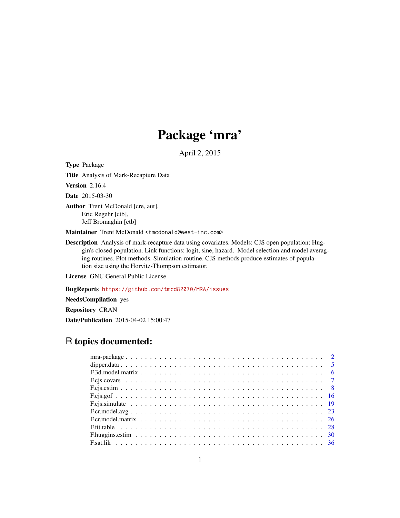# Package 'mra'

April 2, 2015

<span id="page-0-0"></span>Type Package

Title Analysis of Mark-Recapture Data

Version 2.16.4

Date 2015-03-30

Author Trent McDonald [cre, aut], Eric Regehr [ctb], Jeff Bromaghin [ctb]

Maintainer Trent McDonald <tmcdonald@west-inc.com>

Description Analysis of mark-recapture data using covariates. Models: CJS open population; Huggin's closed population. Link functions: logit, sine, hazard. Model selection and model averaging routines. Plot methods. Simulation routine. CJS methods produce estimates of population size using the Horvitz-Thompson estimator.

License GNU General Public License

BugReports <https://github.com/tmcd82070/MRA/issues>

NeedsCompilation yes

Repository CRAN Date/Publication 2015-04-02 15:00:47

# R topics documented: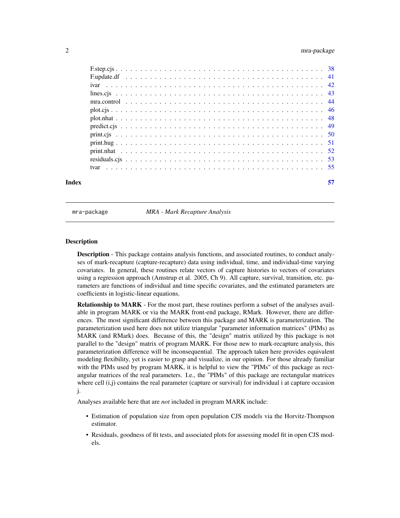<span id="page-1-0"></span>

| Index | 57 |
|-------|----|
|       |    |
|       |    |
|       |    |
|       |    |
|       |    |
|       |    |
|       |    |
|       |    |
|       |    |
|       |    |
|       |    |
|       |    |
|       |    |

mra-package *MRA - Mark Recapture Analysis*

#### **Description**

Description - This package contains analysis functions, and associated routines, to conduct analyses of mark-recapture (capture-recapture) data using individual, time, and individual-time varying covariates. In general, these routines relate vectors of capture histories to vectors of covariates using a regression approach (Amstrup et al. 2005, Ch 9). All capture, survival, transition, etc. parameters are functions of individual and time specific covariates, and the estimated parameters are coefficients in logistic-linear equations.

Relationship to MARK - For the most part, these routines perform a subset of the analyses available in program MARK or via the MARK front-end package, RMark. However, there are differences. The most significant difference between this package and MARK is parameterization. The parameterization used here does not utilize triangular "parameter information matrices" (PIMs) as MARK (and RMark) does. Because of this, the "design" matrix utilized by this package is not parallel to the "design" matrix of program MARK. For those new to mark-recapture analysis, this parameterization difference will be inconsequential. The approach taken here provides equivalent modeling flexibility, yet is easier to grasp and visualize, in our opinion. For those already familiar with the PIMs used by program MARK, it is helpful to view the "PIMs" of this package as rectangular matrices of the real parameters. I.e., the "PIMs" of this package are rectangular matrices where cell (i,j) contains the real parameter (capture or survival) for individual i at capture occasion j.

Analyses available here that are *not* included in program MARK include:

- Estimation of population size from open population CJS models via the Horvitz-Thompson estimator.
- Residuals, goodness of fit tests, and associated plots for assessing model fit in open CJS models.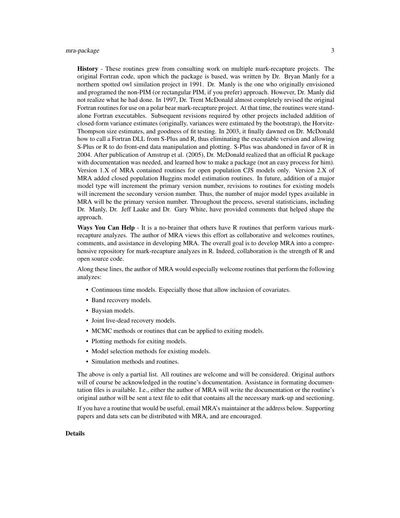History - These routines grew from consulting work on multiple mark-recapture projects. The original Fortran code, upon which the package is based, was written by Dr. Bryan Manly for a northern spotted owl similation project in 1991. Dr. Manly is the one who originally envisioned and programed the non-PIM (or rectangular PIM, if you prefer) approach. However, Dr. Manly did not realize what he had done. In 1997, Dr. Trent McDonald almost completely revised the original Fortran routines for use on a polar bear mark-recapture project. At that time, the routines were standalone Fortran executables. Subsequent revisions required by other projects included addition of closed-form variance estimates (originally, variances were estimated by the bootstrap), the Horvitz-Thompson size estimates, and goodness of fit testing. In 2003, it finally dawned on Dr. McDonald how to call a Fortran DLL from S-Plus and R, thus eliminating the executable version and allowing S-Plus or R to do front-end data manipulation and plotting. S-Plus was abandoned in favor of R in 2004. After publication of Amstrup et al. (2005), Dr. McDonald realized that an official R package with documentation was needed, and learned how to make a package (not an easy process for him). Version 1.X of MRA contained routines for open population CJS models only. Version 2.X of MRA added closed population Huggins model estimation routines. In future, addition of a major model type will increment the primary version number, revisions to routines for existing models will increment the secondary version number. Thus, the number of major model types available in MRA will be the primary version number. Throughout the process, several statisticians, including Dr. Manly, Dr. Jeff Laake and Dr. Gary White, have provided comments that helped shape the approach.

Ways You Can Help - It is a no-brainer that others have R routines that perform various markrecapture analyzes. The author of MRA views this effort as collaborative and welcomes routines, comments, and assistance in developing MRA. The overall goal is to develop MRA into a comprehensive repository for mark-recapture analyzes in R. Indeed, collaboration is the strength of R and open source code.

Along these lines, the author of MRA would especially welcome routines that perform the following analyzes:

- Continuous time models. Especially those that allow inclusion of covariates.
- Band recovery models.
- Baysian models.
- Joint live-dead recovery models.
- MCMC methods or routines that can be applied to exiting models.
- Plotting methods for exiting models.
- Model selection methods for existing models.
- Simulation methods and routines.

The above is only a partial list. All routines are welcome and will be considered. Original authors will of course be acknowledged in the routine's documentation. Assistance in formating documentation files is available. I.e., either the author of MRA will write the documentation or the routine's original author will be sent a text file to edit that contains all the necessary mark-up and sectioning.

If you have a routine that would be useful, email MRA's maintainer at the address below. Supporting papers and data sets can be distributed with MRA, and are encouraged.

#### Details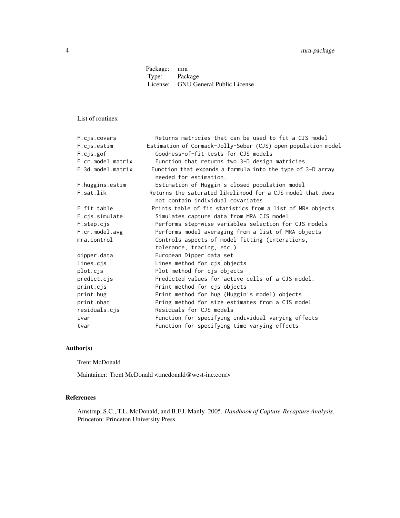Package: mra<br>Type: Pacl Package License: GNU General Public License

List of routines:

| F.cis.covars      | Returns matricies that can be used to fit a CJS model                                           |
|-------------------|-------------------------------------------------------------------------------------------------|
| F.cjs.estim       | Estimation of Cormack-Jolly-Seber (CJS) open population model                                   |
| F.cjs.gof         | Goodness-of-fit tests for CJS models                                                            |
| F.cr.model.matrix | Function that returns two 3-D design matricies.                                                 |
| F.3d.model.matrix | Function that expands a formula into the type of 3-D array<br>needed for estimation.            |
| F.huggins.estim   | Estimation of Huggin's closed population model                                                  |
| F.sat.lik         | Returns the saturated likelihood for a CJS model that does<br>not contain individual covariates |
| F.fit.table       | Prints table of fit statistics from a list of MRA objects                                       |
| F.cjs.simulate    | Simulates capture data from MRA CJS model                                                       |
| F.step.cjs        | Performs step-wise variables selection for CJS models                                           |
| F.cr.model.avg    | Performs model averaging from a list of MRA objects                                             |
| mra.control       | Controls aspects of model fitting (interations,                                                 |
|                   | tolerance, tracing, etc.)                                                                       |
| dipper.data       | European Dipper data set                                                                        |
| lines.cjs         | Lines method for cjs objects                                                                    |
| plot.cjs          | Plot method for cjs objects                                                                     |
| predict.cjs       | Predicted values for active cells of a CJS model.                                               |
| print.cjs         | Print method for cjs objects                                                                    |
| print.hug         | Print method for hug (Huggin's model) objects                                                   |
| print.nhat        | Pring method for size estimates from a CJS model                                                |
| residuals.cjs     | Residuals for CJS models                                                                        |
| ivar              | Function for specifying individual varying effects                                              |
| tvar              | Function for specifying time varying effects                                                    |

#### Author(s)

Trent McDonald

Maintainer: Trent McDonald <tmcdonald@west-inc.com>

# References

Amstrup, S.C., T.L. McDonald, and B.F.J. Manly. 2005. *Handbook of Capture-Recapture Analysis*, Princeton: Princeton University Press.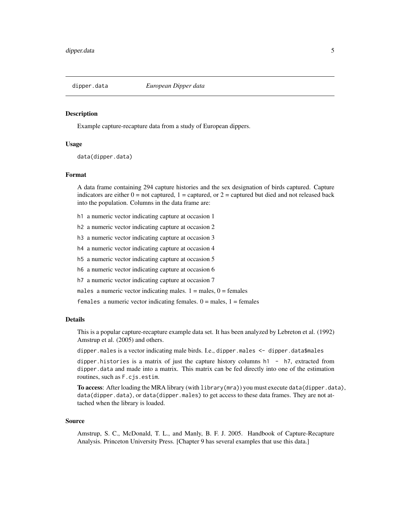<span id="page-4-0"></span>

#### Description

Example capture-recapture data from a study of European dippers.

# Usage

data(dipper.data)

#### Format

A data frame containing 294 capture histories and the sex designation of birds captured. Capture indicators are either  $0 =$  not captured,  $1 =$  captured, or  $2 =$  captured but died and not released back into the population. Columns in the data frame are:

- h1 a numeric vector indicating capture at occasion 1
- h2 a numeric vector indicating capture at occasion 2
- h3 a numeric vector indicating capture at occasion 3
- h4 a numeric vector indicating capture at occasion 4
- h5 a numeric vector indicating capture at occasion 5
- h6 a numeric vector indicating capture at occasion 6
- h7 a numeric vector indicating capture at occasion 7

males a numeric vector indicating males.  $1 =$  males,  $0 =$  females

females a numeric vector indicating females.  $0 =$  males,  $1 =$  females

# Details

This is a popular capture-recapture example data set. It has been analyzed by Lebreton et al. (1992) Amstrup et al. (2005) and others.

dipper.males is a vector indicating male birds. I.e., dipper.males <- dipper.data\$males

dipper.histories is a matrix of just the capture history columns  $h1 - h7$ , extracted from dipper.data and made into a matrix. This matrix can be fed directly into one of the estimation routines, such as F.cjs.estim.

To access: After loading the MRA library (with library(mra)) you must execute data(dipper.data), data(dipper.data), or data(dipper.males) to get access to these data frames. They are not attached when the library is loaded.

#### Source

Amstrup, S. C., McDonald, T. L., and Manly, B. F. J. 2005. Handbook of Capture-Recapture Analysis. Princeton University Press. [Chapter 9 has several examples that use this data.]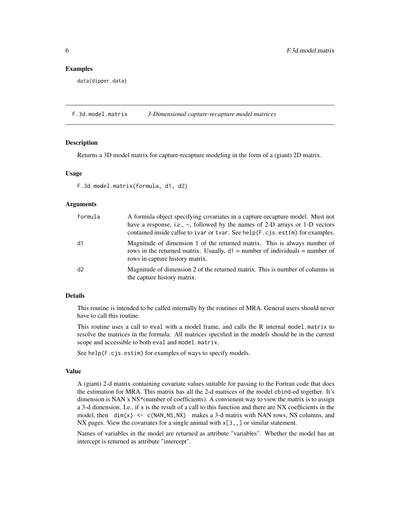#### <span id="page-5-0"></span>Examples

data(dipper.data)

F.3d.model.matrix *3-Dimensional capture-recapture model matrices*

#### Description

Returns a 3D model matrix for capture-recapture modeling in the form of a (giant) 2D matrix.

#### Usage

```
F.3d.model.matrix(formula, d1, d2)
```
# Arguments

| formula | A formula object specifying covariates in a capture-recapture model. Must not<br>have a response, i.e., $\sim$ , followed by the names of 2-D arrays or 1-D vectors<br>contained inside callse to ivar or tvar. See help(F.cjs.estim) for examples. |
|---------|-----------------------------------------------------------------------------------------------------------------------------------------------------------------------------------------------------------------------------------------------------|
| d1      | Magnitude of dimension 1 of the returned matrix. This is always number of<br>rows in the returned matrix. Usually, $d1$ = number of individuals = number of<br>rows in capture history matrix.                                                      |
| d2      | Magnitude of dimension 2 of the returned matrix. This is number of columns in<br>the capture history matrix.                                                                                                                                        |

# Details

This routine is intended to be called internally by the routines of MRA. General users should never have to call this routine.

This routine uses a call to eval with a model frame, and calls the R internal model.matrix to resolve the matrices in the formula. All matrices specified in the models should be in the current scope and accessible to both eval and model.matrix.

See help(F.cjs.estim) for examples of ways to specify models.

#### Value

A (giant) 2-d matrix containing covariate values suitable for passing to the Fortran code that does the estimation for MRA. This matrix has all the 2-d matrices of the model cbind-ed together. It's dimension is NAN x NS\*(number of coefficients). A convienent way to view the matrix is to assign a 3-d dimension. I.e., if x is the result of a call to this function and there are NX coefficients in the model, then  $\dim(x) \leq c(\text{NAN},\text{NS},\text{NX})$  makes a 3-d matrix with NAN rows, NS columns, and NX pages. View the covariates for a single animal with  $x[3, 1]$  or similar statement.

Names of variables in the model are returned as attribute "variables". Whether the model has an intercept is returned as attribute "intercept".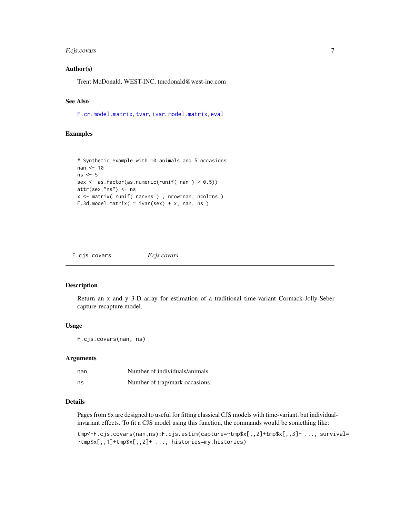# <span id="page-6-0"></span>F.cjs.covars 7

#### Author(s)

Trent McDonald, WEST-INC, tmcdonald@west-inc.com

# See Also

[F.cr.model.matrix](#page-25-1), [tvar](#page-54-1), [ivar](#page-41-1), [model.matrix](#page-0-0), [eval](#page-0-0)

# Examples

```
# Synthetic example with 10 animals and 5 occasions
nan <- 10
ns < -5sex <- as.factor(as.numeric(runif( nan ) > 0.5))
attr(sex,"ns") <- ns
x <- matrix( runif( nan*ns ) , nrow=nan, ncol=ns )
F.3d.model.matrix( \sim ivar(sex) + x, nan, ns)
```
<span id="page-6-1"></span>F.cjs.covars *F.cjs.covars*

# Description

Return an x and y 3-D array for estimation of a traditional time-variant Cormack-Jolly-Seber capture-recapture model.

#### Usage

```
F.cjs.covars(nan, ns)
```
#### Arguments

| nan | Number of individuals/animals. |
|-----|--------------------------------|
| ns  | Number of trap/mark occasions. |

#### Details

Pages from \$x are designed to useful for fitting classical CJS models with time-variant, but individualinvariant effects. To fit a CJS model using this function, the commands would be something like:

tmp<-F.cjs.covars(nan,ns);F.cjs.estim(capture=~tmp\$x[,,2]+tmp\$x[,,3]+ ..., survival= ~tmp\$x[,,1]+tmp\$x[,,2]+ ..., histories=my.histories)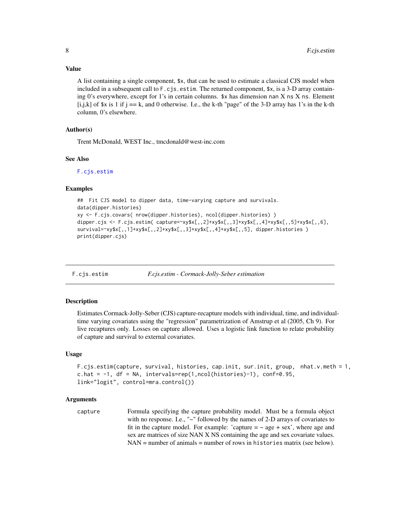<span id="page-7-0"></span>A list containing a single component, \$x, that can be used to estimate a classical CJS model when included in a subsequent call to F.cjs.estim. The returned component, \$x, is a 3-D array containing 0's everywhere, except for 1's in certain columns. \$x has dimension nan X ns X ns. Element [i,j,k] of  $x$  is 1 if j == k, and 0 otherwise. I.e., the k-th "page" of the 3-D array has 1's in the k-th column, 0's elsewhere.

#### Author(s)

Trent McDonald, WEST Inc., tmcdonald@west-inc.com

#### See Also

[F.cjs.estim](#page-7-1)

#### Examples

```
## Fit CJS model to dipper data, time-varying capture and survivals.
data(dipper.histories)
xy <- F.cjs.covars( nrow(dipper.histories), ncol(dipper.histories) )
dipper.cjs <- F.cjs.estim( capture=~xy$x[,,2]+xy$x[,,3]+xy$x[,,4]+xy$x[,,5]+xy$x[,,6],
survival=~xy$x[,,1]+xy$x[,,2]+xy$x[,,3]+xy$x[,,4]+xy$x[,,5], dipper.histories )
print(dipper.cjs)
```
<span id="page-7-1"></span>F.cjs.estim *F.cjs.estim - Cormack-Jolly-Seber estimation*

# Description

Estimates Cormack-Jolly-Seber (CJS) capture-recapture models with individual, time, and individualtime varying covariates using the "regression" parametrization of Amstrup et al (2005, Ch 9). For live recaptures only. Losses on capture allowed. Uses a logistic link function to relate probability of capture and survival to external covariates.

#### Usage

```
F.cjs.estim(capture, survival, histories, cap.init, sur.init, group, nhat.v.meth = 1,
c.hat = -1, df = NA, intervals=rep(1,ncol(histories)-1), conf=0.95,
link="logit", control=mra.control())
```
# Arguments

```
capture Formula specifying the capture probability model. Must be a formula object
                  with no response. I.e., "~" followed by the names of 2-D arrays of covariates to
                  fit in the capture model. For example: 'capture = \sim age + sex', where age and
                  sex are matrices of size NAN X NS containing the age and sex covariate values.
                  NAN = number of animals = number of rows in histories matrix (see below).
```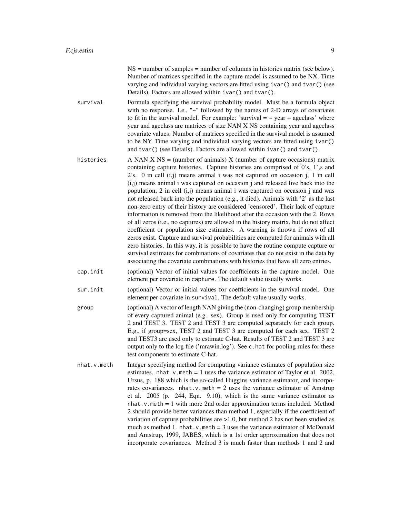NS = number of samples = number of columns in histories matrix (see below). Number of matrices specified in the capture model is assumed to be NX. Time varying and individual varying vectors are fitted using ivar() and tvar() (see Details). Factors are allowed within ivar() and tvar().

survival Formula specifying the survival probability model. Must be a formula object with no response. I.e., "~" followed by the names of 2-D arrays of covariates to fit in the survival model. For example: 'survival  $=$   $\sim$  year  $+$  ageclass' where year and ageclass are matrices of size NAN X NS containing year and ageclass covariate values. Number of matrices specified in the survival model is assumed to be NY. Time varying and individual varying vectors are fitted using ivar() and tvar() (see Details). Factors are allowed within ivar() and tvar().

- histories  $A NAN X NS = (number of animals) X (number of capture occasions) matrix$ containing capture histories. Capture histories are comprised of 0's, 1',s and 2's. 0 in cell (i,j) means animal i was not captured on occasion j, 1 in cell (i,j) means animal i was captured on occasion j and released live back into the population, 2 in cell (i,j) means animal i was captured on occasion j and was not released back into the population (e.g., it died). Animals with '2' as the last non-zero entry of their history are considered 'censored'. Their lack of capture information is removed from the likelihood after the occasion with the 2. Rows of all zeros (i.e., no captures) are allowed in the history matrix, but do not affect coefficient or population size estimates. A warning is thrown if rows of all zeros exist. Capture and survival probabilities are computed for animals with all zero histories. In this way, it is possible to have the routine compute capture or survival estimates for combinations of covariates that do not exist in the data by associating the covariate combinations with histories that have all zero entries.
- cap.init (optional) Vector of initial values for coefficients in the capture model. One element per covariate in capture. The default value usually works.
- sur.init (optional) Vector or initial values for coefficients in the survival model. One element per covariate in survival. The default value usually works.
- group (optional) A vector of length NAN giving the (non-changing) group membership of every captured animal (e.g., sex). Group is used only for computing TEST 2 and TEST 3. TEST 2 and TEST 3 are computed separately for each group. E.g., if group=sex, TEST 2 and TEST 3 are computed for each sex. TEST 2 and TEST3 are used only to estimate C-hat. Results of TEST 2 and TEST 3 are output only to the log file ('mrawin.log'). See c.hat for pooling rules for these test components to estimate C-hat.
- nhat.v.meth Integer specifying method for computing variance estimates of population size estimates. nhat.  $v$  meth = 1 uses the variance estimator of Taylor et al. 2002, Ursus, p. 188 which is the so-called Huggins variance estimator, and incorporates covariances. nhat.v.meth = 2 uses the variance estimator of Amstrup et al. 2005 (p. 244, Eqn. 9.10), which is the same variance estimator as  $nhat v$ , meth = 1 with more 2nd order approximation terms included. Method 2 should provide better variances than method 1, especially if the coefficient of variation of capture probabilities are >1.0, but method 2 has not been studied as much as method 1. nhat.  $v$  meth = 3 uses the variance estimator of McDonald and Amstrup, 1999, JABES, which is a 1st order approximation that does not incorporate covariances. Method 3 is much faster than methods 1 and 2 and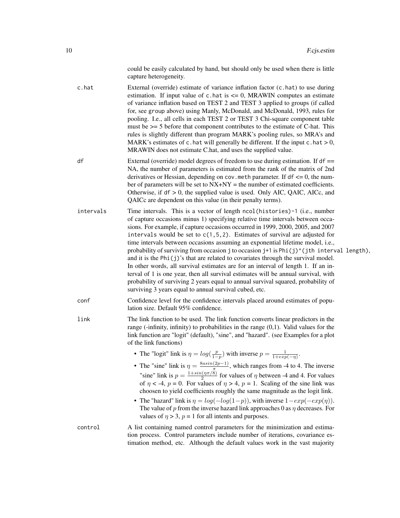could be easily calculated by hand, but should only be used when there is little capture heterogeneity.

c.hat External (override) estimate of variance inflation factor (c.hat) to use during estimation. If input value of  $c$ . hat is  $\leq 0$ , MRAWIN computes an estimate of variance inflation based on TEST 2 and TEST 3 applied to groups (if called for, see group above) using Manly, McDonald, and McDonald, 1993, rules for pooling. I.e., all cells in each TEST 2 or TEST 3 Chi-square component table must be  $\ge$  5 before that component contributes to the estimate of C-hat. This rules is slightly different than program MARK's pooling rules, so MRA's and MARK's estimates of c.hat will generally be different. If the input c.hat  $> 0$ , MRAWIN does not estimate C.hat, and uses the supplied value.

- df External (override) model degrees of freedom to use during estimation. If df == NA, the number of parameters is estimated from the rank of the matrix of 2nd derivatives or Hessian, depending on cov. meth parameter. If  $df \leq 0$ , the number of parameters will be set to  $NX+NY =$  the number of estimated coefficients. Otherwise, if df > 0, the supplied value is used. Only AIC, QAIC, AICc, and QAICc are dependent on this value (in their penalty terms).
- intervals Time intervals. This is a vector of length ncol(histories)-1 (i.e., number of capture occasions minus 1) specifying relative time intervals between occasions. For example, if capture occasions occurred in 1999, 2000, 2005, and 2007 intervals would be set to  $c(1,5,2)$ . Estimates of survival are adjusted for time intervals between occasions assuming an exponential lifetime model, i.e., probability of surviving from occasion j to occasion  $j+1$  is Phi(j)^(jth interval length), and it is the  $Phi(j)$ 's that are related to covariates through the survival model. In other words, all survival estimates are for an interval of length 1. If an interval of 1 is one year, then all survival estimates will be annual survival, with probability of surviving 2 years equal to annual survival squared, probability of surviving 3 years equal to annual survival cubed, etc.

conf Confidence level for the confidence intervals placed around estimates of population size. Default 95% confidence.

- link The link function to be used. The link function converts linear predictors in the range (-infinity, infinity) to probabilities in the range (0,1). Valid values for the link function are "logit" (default), "sine", and "hazard". (see Examples for a plot of the link functions)
	- The "logit" link is  $\eta = log(\frac{p}{1-p})$  with inverse  $p = \frac{1}{1+exp(-\eta)}$ .
	- The "sine" link is  $\eta = \frac{8asin(2p-1)}{\pi}$  $\frac{(2p-1)}{\pi}$ , which ranges from -4 to 4. The inverse "sine" link is  $p = \frac{1 + \sin(\eta \pi/8)}{2}$  $\frac{\Gamma(1/\pi/8)}{2}$  for values of  $\eta$  between -4 and 4. For values of  $\eta$  < -4,  $p = 0$ . For values of  $\eta > 4$ ,  $p = 1$ . Scaling of the sine link was choosen to yield coefficients roughly the same magnitude as the logit link.
	- The "hazard" link is  $\eta = \log(-\log(1-p))$ , with inverse  $1 \exp(-\exp(\eta))$ . The value of  $p$  from the inverse hazard link approaches 0 as  $\eta$  decreases. For values of  $\eta > 3$ ,  $p = 1$  for all intents and purposes.
- control A list containing named control parameters for the minimization and estimation process. Control parameters include number of iterations, covariance estimation method, etc. Although the default values work in the vast majority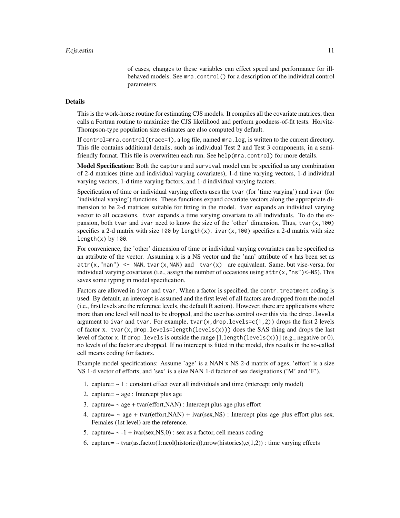of cases, changes to these variables can effect speed and performance for illbehaved models. See mra.control() for a description of the individual control parameters.

# Details

This is the work-horse routine for estimating CJS models. It compiles all the covariate matrices, then calls a Fortran routine to maximize the CJS likelihood and perform goodness-of-fit tests. Horvitz-Thompson-type population size estimates are also computed by default.

If control=mra.control(trace=1), a log file, named mra.log, is written to the current directory. This file contains additional details, such as individual Test 2 and Test 3 components, in a semifriendly format. This file is overwritten each run. See help(mra.control) for more details.

Model Specification: Both the capture and survival model can be specified as any combination of 2-d matrices (time and individual varying covariates), 1-d time varying vectors, 1-d individual varying vectors, 1-d time varying factors, and 1-d individual varying factors.

Specification of time or individual varying effects uses the tvar (for 'time varying') and ivar (for 'individual varying') functions. These functions expand covariate vectors along the appropriate dimension to be 2-d matrices suitable for fitting in the model. ivar expands an individual varying vector to all occasions. tvar expands a time varying covariate to all individuals. To do the expansion, both tvar and ivar need to know the size of the 'other' dimension. Thus, tvar $(x,100)$ specifies a 2-d matrix with size 100 by length(x). ivar(x,100) specifies a 2-d matrix with size  $length(x)$  by 100.

For convenience, the 'other' dimension of time or individual varying covariates can be specified as an attribute of the vector. Assuming  $x$  is a NS vector and the 'nan' attribute of  $x$  has been set as  $attr(x, "nan") \leq NAN, tvar(x, NAN)$  and  $tvar(x)$  are equivalent. Same, but vise-versa, for individual varying covariates (i.e., assign the number of occasions using  $attr(x, "ns") < -NS$ ). This saves some typing in model specification.

Factors are allowed in ivar and tvar. When a factor is specified, the contr.treatment coding is used. By default, an intercept is assumed and the first level of all factors are dropped from the model (i.e., first levels are the reference levels, the default R action). However, there are applications where more than one level will need to be dropped, and the user has control over this via the drop. Levels argument to ivar and tvar. For example, tvar $(x, drop.levels=c(1,2))$  drops the first 2 levels of factor x. tvar(x,drop.levels=length(levels(x))) does the SAS thing and drops the last level of factor x. If drop.levels is outside the range [1,length(levels(x))] (e.g., negative or 0), no levels of the factor are dropped. If no intercept is fitted in the model, this results in the so-called cell means coding for factors.

Example model specifications: Assume 'age' is a NAN x NS 2-d matrix of ages, 'effort' is a size NS 1-d vector of efforts, and 'sex' is a size NAN 1-d factor of sex designations ('M' and 'F').

- 1. capture  $\sim 1$  : constant effect over all individuals and time (intercept only model)
- 2. capture=  $\sim$  age : Intercept plus age
- 3. capture=  $\sim$  age + tvar(effort, NAN) : Intercept plus age plus effort
- 4. capture=  $\sim$  age + tvar(effort, NAN) + ivar(sex, NS) : Intercept plus age plus effort plus sex. Females (1st level) are the reference.
- 5. capture=  $\sim$  -1 + ivar(sex, NS, 0) : sex as a factor, cell means coding
- 6. capture=  $\sim$  tvar(as.factor(1:ncol(histories)),nrow(histories),c(1,2)) : time varying effects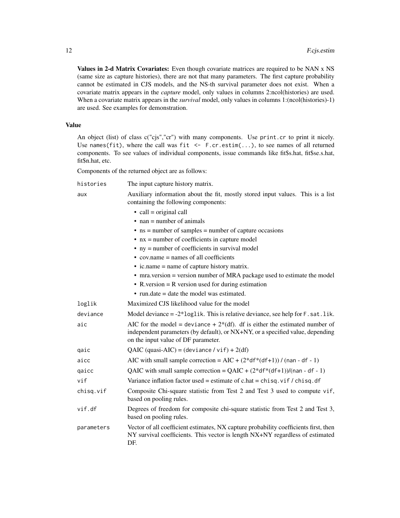Values in 2-d Matrix Covariates: Even though covariate matrices are required to be NAN x NS (same size as capture histories), there are not that many parameters. The first capture probability cannot be estimated in CJS models, and the NS-th survival parameter does not exist. When a covariate matrix appears in the *capture* model, only values in columns 2:ncol(histories) are used. When a covariate matrix appears in the *survival* model, only values in columns 1:(ncol(histories)-1) are used. See examples for demonstration.

#### Value

An object (list) of class c("cjs","cr") with many components. Use print.cr to print it nicely. Use names(fit), where the call was fit  $\leq$  F.cr.estim(...), to see names of all returned components. To see values of individual components, issue commands like fit\$s.hat, fit\$se.s.hat, fit\$n.hat, etc.

Components of the returned object are as follows:

| histories  | The input capture history matrix.                                                                                                                                                                       |  |  |  |  |  |  |
|------------|---------------------------------------------------------------------------------------------------------------------------------------------------------------------------------------------------------|--|--|--|--|--|--|
| aux        | Auxiliary information about the fit, mostly stored input values. This is a list<br>containing the following components:                                                                                 |  |  |  |  |  |  |
|            | $\bullet$ call = original call                                                                                                                                                                          |  |  |  |  |  |  |
|            | $\bullet$ nan = number of animals                                                                                                                                                                       |  |  |  |  |  |  |
|            | $\bullet$ ns = number of samples = number of capture occasions                                                                                                                                          |  |  |  |  |  |  |
|            | $\bullet$ nx = number of coefficients in capture model                                                                                                                                                  |  |  |  |  |  |  |
|            | $\bullet$ ny = number of coefficients in survival model                                                                                                                                                 |  |  |  |  |  |  |
|            | $\bullet$ cov.name = names of all coefficients                                                                                                                                                          |  |  |  |  |  |  |
|            | $\bullet$ ic.name = name of capture history matrix.                                                                                                                                                     |  |  |  |  |  |  |
|            | • mra.version = version number of MRA package used to estimate the model                                                                                                                                |  |  |  |  |  |  |
|            | • R version $=$ R version used for during estimation                                                                                                                                                    |  |  |  |  |  |  |
|            | $\bullet$ run.date = date the model was estimated.                                                                                                                                                      |  |  |  |  |  |  |
| loglik     | Maximized CJS likelihood value for the model                                                                                                                                                            |  |  |  |  |  |  |
| deviance   | Model deviance $= -2*log 1$ ik. This is relative deviance, see help for $F$ . sat. lik.                                                                                                                 |  |  |  |  |  |  |
| aic        | AIC for the model = deviance + $2*(df)$ . df is either the estimated number of<br>independent parameters (by default), or NX+NY, or a specified value, depending<br>on the input value of DF parameter. |  |  |  |  |  |  |
| qaic       | QAIC (quasi-AIC) = (deviance / vif) + 2(df)                                                                                                                                                             |  |  |  |  |  |  |
| aicc       | AIC with small sample correction = AIC + $(2*df*(df+1))/$ (nan - df - 1)                                                                                                                                |  |  |  |  |  |  |
| qaicc      | QAIC with small sample correction = $QAIC + (2*df*(df+1))/(nan - df - 1)$                                                                                                                               |  |  |  |  |  |  |
| vif        | Variance inflation factor used = estimate of c.hat = chisq.vif / chisq.df                                                                                                                               |  |  |  |  |  |  |
| chisq.vif  | Composite Chi-square statistic from Test 2 and Test 3 used to compute vif,<br>based on pooling rules.                                                                                                   |  |  |  |  |  |  |
| vif.df     | Degrees of freedom for composite chi-square statistic from Test 2 and Test 3,<br>based on pooling rules.                                                                                                |  |  |  |  |  |  |
| parameters | Vector of all coefficient estimates, NX capture probability coefficients first, then<br>NY survival coefficients. This vector is length NX+NY regardless of estimated<br>DF.                            |  |  |  |  |  |  |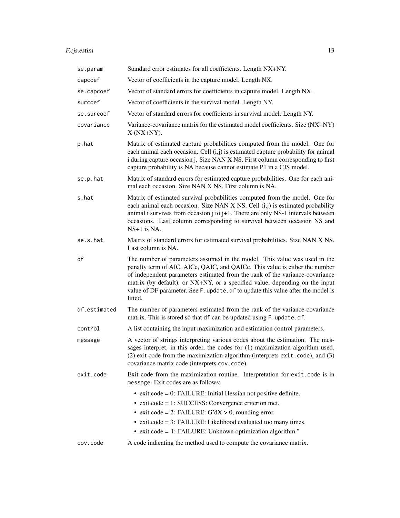# F.cjs.estim 13

| se.param     | Standard error estimates for all coefficients. Length NX+NY.                                                                                                                                                                                                                                                                                                                                                           |
|--------------|------------------------------------------------------------------------------------------------------------------------------------------------------------------------------------------------------------------------------------------------------------------------------------------------------------------------------------------------------------------------------------------------------------------------|
| capcoef      | Vector of coefficients in the capture model. Length NX.                                                                                                                                                                                                                                                                                                                                                                |
| se.capcoef   | Vector of standard errors for coefficients in capture model. Length NX.                                                                                                                                                                                                                                                                                                                                                |
| surcoef      | Vector of coefficients in the survival model. Length NY.                                                                                                                                                                                                                                                                                                                                                               |
| se.surcoef   | Vector of standard errors for coefficients in survival model. Length NY.                                                                                                                                                                                                                                                                                                                                               |
| covariance   | Variance-covariance matrix for the estimated model coefficients. Size (NX+NY)<br>$X(NX+NY)$ .                                                                                                                                                                                                                                                                                                                          |
| p.hat        | Matrix of estimated capture probabilities computed from the model. One for<br>each animal each occasion. Cell $(i, j)$ is estimated capture probability for animal<br>i during capture occasion j. Size NAN X NS. First column corresponding to first<br>capture probability is NA because cannot estimate P1 in a CJS model.                                                                                          |
| se.p.hat     | Matrix of standard errors for estimated capture probabilities. One for each ani-<br>mal each occasion. Size NAN X NS. First column is NA.                                                                                                                                                                                                                                                                              |
| s.hat        | Matrix of estimated survival probabilities computed from the model. One for<br>each animal each occasion. Size NAN X NS. Cell (i,j) is estimated probability<br>animal i survives from occasion $j$ to $j+1$ . There are only NS-1 intervals between<br>occasions. Last column corresponding to survival between occasion NS and<br>$NS+1$ is NA.                                                                      |
| se.s.hat     | Matrix of standard errors for estimated survival probabilities. Size NAN X NS.<br>Last column is NA.                                                                                                                                                                                                                                                                                                                   |
| df           | The number of parameters assumed in the model. This value was used in the<br>penalty term of AIC, AICc, QAIC, and QAICc. This value is either the number<br>of independent parameters estimated from the rank of the variance-covariance<br>matrix (by default), or NX+NY, or a specified value, depending on the input<br>value of DF parameter. See F. update. df to update this value after the model is<br>fitted. |
| df.estimated | The number of parameters estimated from the rank of the variance-covariance<br>matrix. This is stored so that df can be updated using F. update.df.                                                                                                                                                                                                                                                                    |
| control      | A list containing the input maximization and estimation control parameters.                                                                                                                                                                                                                                                                                                                                            |
| message      | A vector of strings interpreting various codes about the estimation. The mes-<br>sages interpret, in this order, the codes for (1) maximization algorithm used,<br>$(2)$ exit code from the maximization algorithm (interprets exit, code), and $(3)$<br>covariance matrix code (interprets cov.code).                                                                                                                 |
| exit.code    | Exit code from the maximization routine. Interpretation for exit.code is in<br>message. Exit codes are as follows:                                                                                                                                                                                                                                                                                                     |
|              | $\bullet$ exit.code = 0: FAILURE: Initial Hessian not positive definite.<br>$\bullet$ exit.code = 1: SUCCESS: Convergence criterion met.<br>• exit.code = 2: FAILURE: $G'dX > 0$ , rounding error.<br>$\bullet$ exit.code = 3: FAILURE: Likelihood evaluated too many times.<br>• exit.code =-1: FAILURE: Unknown optimization algorithm."                                                                             |
| cov.code     | A code indicating the method used to compute the covariance matrix.                                                                                                                                                                                                                                                                                                                                                    |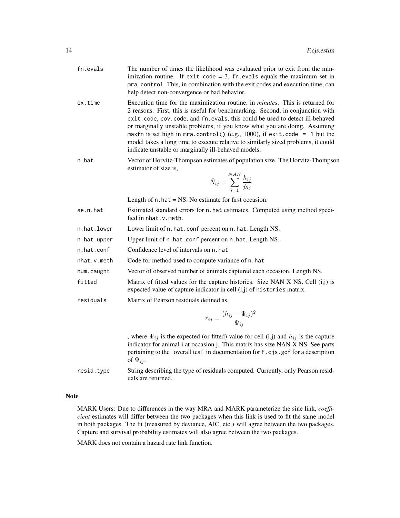| fn.evals | The number of times the likelihood was evaluated prior to exit from the min-  |
|----------|-------------------------------------------------------------------------------|
|          | imization routine. If $exit_code = 3$ , $fn.evals equals the maximum set in$  |
|          | mra.control. This, in combination with the exit codes and execution time, can |
|          | help detect non-convergence or bad behavior.                                  |
|          |                                                                               |

- ex.time Execution time for the maximization routine, in *minutes*. This is returned for 2 reasons. First, this is useful for benchmarking. Second, in conjunction with exit.code, cov.code, and fn.evals, this could be used to detect ill-behaved or marginally unstable problems, if you know what you are doing. Assuming maxfn is set high in mra.control() (e.g., 1000), if exit.code = 1 but the model takes a long time to execute relative to similarly sized problems, it could indicate unstable or marginally ill-behaved models.
- n.hat Vector of Horvitz-Thompson estimates of population size. The Horvitz-Thompson estimator of size is,

$$
\hat{N}_{ij} = \sum_{i=1}^{NAN} \frac{h_{ij}}{\hat{p}_{ij}}
$$

Length of  $n$ . hat  $=$  NS. No estimate for first occasion.

- se.n.hat Estimated standard errors for n.hat estimates. Computed using method specified in nhat.v.meth.
- n.hat.lower Lower limit of n.hat.conf percent on n.hat. Length NS.
- n.hat.upper Upper limit of n.hat.conf percent on n.hat. Length NS.
- n.hat.conf Confidence level of intervals on n.hat

nhat. v.meth Code for method used to compute variance of n.hat

num.caught Vector of observed number of animals captured each occasion. Length NS.

fitted Matrix of fitted values for the capture histories. Size NAN X NS. Cell (i,j) is expected value of capture indicator in cell (i,j) of histories matrix.

residuals Matrix of Pearson residuals defined as,

$$
r_{ij} = \frac{(h_{ij} - \Psi_{ij})^2}{\Psi_{ij}}
$$

, where  $\Psi_{ij}$  is the expected (or fitted) value for cell (i,j) and  $h_{ij}$  is the capture indicator for animal i at occasion j. This matrix has size NAN X NS. See parts pertaining to the "overall test" in documentation for F.cjs.gof for a description of  $\Psi_{ij}$ .

resid.type String describing the type of residuals computed. Currently, only Pearson residuals are returned.

#### Note

MARK Users: Due to differences in the way MRA and MARK parameterize the sine link, *coefficient* estimates will differ between the two packages when this link is used to fit the same model in both packages. The fit (measured by deviance, AIC, etc.) will agree between the two packages. Capture and survival probability estimates will also agree between the two packages.

MARK does not contain a hazard rate link function.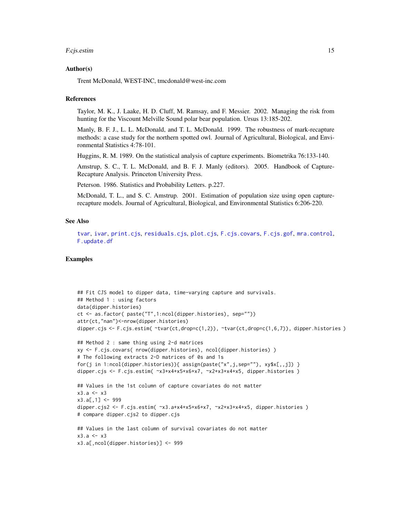#### <span id="page-14-0"></span>F.cjs.estim 15

#### Author(s)

Trent McDonald, WEST-INC, tmcdonald@west-inc.com

#### References

Taylor, M. K., J. Laake, H. D. Cluff, M. Ramsay, and F. Messier. 2002. Managing the risk from hunting for the Viscount Melville Sound polar bear population. Ursus 13:185-202.

Manly, B. F. J., L. L. McDonald, and T. L. McDonald. 1999. The robustness of mark-recapture methods: a case study for the northern spotted owl. Journal of Agricultural, Biological, and Environmental Statistics 4:78-101.

Huggins, R. M. 1989. On the statistical analysis of capture experiments. Biometrika 76:133-140.

Amstrup, S. C., T. L. McDonald, and B. F. J. Manly (editors). 2005. Handbook of Capture-Recapture Analysis. Princeton University Press.

Peterson. 1986. Statistics and Probability Letters. p.227.

McDonald, T. L., and S. C. Amstrup. 2001. Estimation of population size using open capturerecapture models. Journal of Agricultural, Biological, and Environmental Statistics 6:206-220.

#### See Also

[tvar](#page-54-1), [ivar](#page-41-1), [print.cjs](#page-49-1), [residuals.cjs](#page-52-1), [plot.cjs](#page-45-1), [F.cjs.covars](#page-6-1), [F.cjs.gof](#page-15-1), [mra.control](#page-43-1), [F.update.df](#page-40-1)

# Examples

```
## Fit CJS model to dipper data, time-varying capture and survivals.
## Method 1 : using factors
data(dipper.histories)
ct <- as.factor( paste("T",1:ncol(dipper.histories), sep=""))
attr(ct,"nan")<-nrow(dipper.histories)
dipper.cjs <- F.cjs.estim( ~tvar(ct,drop=c(1,2)), ~tvar(ct,drop=c(1,6,7)), dipper.histories )
## Method 2 : same thing using 2-d matrices
xy <- F.cjs.covars( nrow(dipper.histories), ncol(dipper.histories) )
# The following extracts 2-D matrices of 0s and 1s
for(j in 1:ncol(dipper.histories)){ assign(paste("x",j,sep=""), xy$x[,,j]) }
dipper.cjs <- F.cjs.estim( ~x3+x4+x5+x6+x7, ~x2+x3+x4+x5, dipper.histories )
## Values in the 1st column of capture covariates do not matter
x3.a < - x3x3.a[,1] < -999dipper.cjs2 <- F.cjs.estim( ~x3.a+x4+x5+x6+x7, ~x2+x3+x4+x5, dipper.histories )
# compare dipper.cjs2 to dipper.cjs
## Values in the last column of survival covariates do not matter
x3.9 < -x3x3.a[,ncol(dipper.histories)] <- 999
```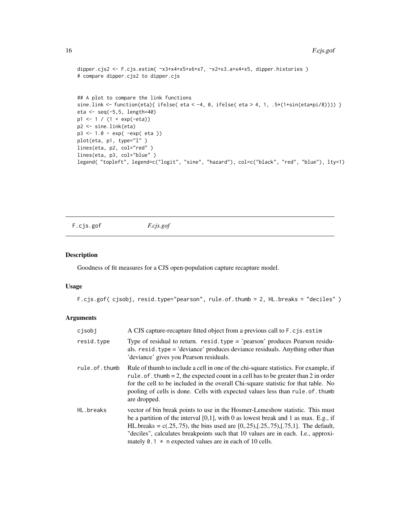```
dipper.cjs2 <- F.cjs.estim( x3+x4+x5+x6+x7, x2+x3.a+x4+x5, dipper.histories )
# compare dipper.cjs2 to dipper.cjs
## A plot to compare the link functions
sine.link <- function(eta){ ifelse( eta < -4, 0, ifelse( eta > 4, 1, .5*(1+sin(eta*pi/8)))) }
eta <- seq(-5,5, length=40)
p1 \leftarrow 1 / (1 + exp(-eta))p2 <- sine.link(eta)
p3 <- 1.0 - exp( -exp( eta ))
plot(eta, p1, type="l" )
lines(eta, p2, col="red")
lines(eta, p3, col="blue")
legend( "topleft", legend=c("logit", "sine", "hazard"), col=c("black", "red", "blue"), lty=1)
```
<span id="page-15-1"></span>F.cjs.gof *F.cjs.gof*

#### Description

Goodness of fit measures for a CJS open-population capture recapture model.

#### Usage

```
F.cjs.gof( cjsobj, resid.type="pearson", rule.of.thumb = 2, HL.breaks = "deciles" )
```
# Arguments

| cisobi        | A CJS capture-recapture fitted object from a previous call to F.cjs.estim                                                                                                                                                                                                                                                                                                                                               |
|---------------|-------------------------------------------------------------------------------------------------------------------------------------------------------------------------------------------------------------------------------------------------------------------------------------------------------------------------------------------------------------------------------------------------------------------------|
| resid.type    | Type of residual to return. $resid. type = 'pearson' produces Pearson residue$<br>als. resid. type = 'deviance' produces deviance residuals. Anything other than<br>'deviance' gives you Pearson residuals.                                                                                                                                                                                                             |
| rule.of.thumb | Rule of thumb to include a cell in one of the chi-square statistics. For example, if<br>rule. of . thumb = 2, the expected count in a cell has to be greater than 2 in order<br>for the cell to be included in the overall Chi-square statistic for that table. No<br>pooling of cells is done. Cells with expected values less than rule of thumb<br>are dropped.                                                      |
| HL.breaks     | vector of bin break points to use in the Hosmer-Lemeshow statistic. This must<br>be a partition of the interval $[0,1]$ , with 0 as lowest break and 1 as max. E.g., if<br>HL.breaks = c(.25,.75), the bins used are $[0,25), [0.25,75), [0.75,1]$ . The default,<br>"deciles", calculates breakpoints such that 10 values are in each. I.e., approxi-<br>mately 0.1 $\star$ n expected values are in each of 10 cells. |

<span id="page-15-0"></span>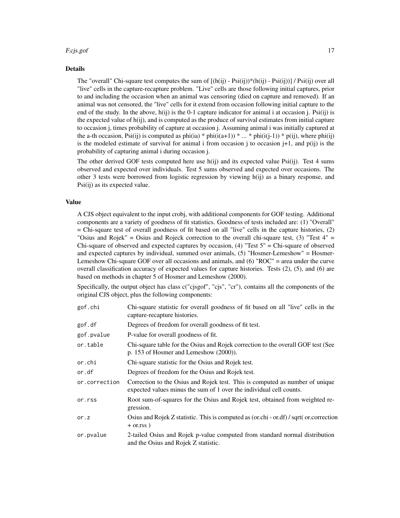#### F.cjs.gof 17

#### Details

The "overall" Chi-square test computes the sum of  $[(h(ij) - Ps(ij))\n* (h(ij) - Ps(ij))]$  / Psi(ij)) over all "live" cells in the capture-recapture problem. "Live" cells are those following initial captures, prior to and including the occasion when an animal was censoring (died on capture and removed). If an animal was not censored, the "live" cells for it extend from occasion following initial capture to the end of the study. In the above,  $h(ij)$  is the 0-1 capture indicator for animal i at occasion j. Psi(ij) is the expected value of  $h(i)$ , and is computed as the produce of survival estimates from initial capture to occasion j, times probability of capture at occasion j. Assuming animal i was initially captured at the a-th occasion, Psi(ij) is computed as phi(ia) \* phi(i(a+1)) \* ... \* phi(i(j-1)) \* p(ij), where phi(ij) is the modeled estimate of survival for animal i from occasion j to occasion  $j+1$ , and  $p(ij)$  is the probability of capturing animal i during occasion j.

The other derived GOF tests computed here use h(ij) and its expected value Psi(ij). Test 4 sums observed and expected over individuals. Test 5 sums observed and expected over occasions. The other 3 tests were borrowed from logistic regression by viewing h(ij) as a binary response, and Psi(ij) as its expected value.

#### Value

A CJS object equivalent to the input crobj, with additional components for GOF testing. Additional components are a variety of goodness of fit statistics. Goodness of tests included are: (1) "Overall" = Chi-square test of overall goodness of fit based on all "live" cells in the capture histories, (2) "Osius and Rojek" = Osius and Rojeck correction to the overall chi-square test,  $(3)$  "Test  $4"$  = Chi-square of observed and expected captures by occasion,  $(4)$  "Test  $5$ " = Chi-square of observed and expected captures by individual, summed over animals, (5) "Hosmer-Lemeshow" = Hosmer-Lemeshow Chi-square GOF over all occasions and animals, and (6) "ROC" = area under the curve overall classification accuracy of expected values for capture histories. Tests (2), (5), and (6) are based on methods in chapter 5 of Hosmer and Lemeshow (2000).

Specifically, the output object has class c("cjsgof", "cjs", "cr"), contains all the components of the original CJS object, plus the following components:

| gof.chi       | Chi-square statistic for overall goodness of fit based on all "live" cells in the<br>capture-recapture histories.                                   |
|---------------|-----------------------------------------------------------------------------------------------------------------------------------------------------|
| gof.df        | Degrees of freedom for overall goodness of fit test.                                                                                                |
| gof.pvalue    | P-value for overall goodness of fit.                                                                                                                |
| or.table      | Chi-square table for the Osius and Rojek correction to the overall GOF test (See<br>p. 153 of Hosmer and Lemeshow $(2000)$ ).                       |
| or.chi        | Chi-square statistic for the Osius and Rojek test.                                                                                                  |
| or.df         | Degrees of freedom for the Osius and Rojek test.                                                                                                    |
| or.correction | Correction to the Osius and Rojek test. This is computed as number of unique<br>expected values minus the sum of 1 over the individual cell counts. |
| or.rss        | Root sum-of-squares for the Osius and Rojek test, obtained from weighted re-<br>gression.                                                           |
| or.z          | Osius and Rojek Z statistic. This is computed as (or.chi - or.df) / sqrt( or.correction<br>$+$ or $\text{r}$ rss $)$                                |
| or.pvalue     | 2-tailed Osius and Rojek p-value computed from standard normal distribution<br>and the Osius and Rojek Z statistic.                                 |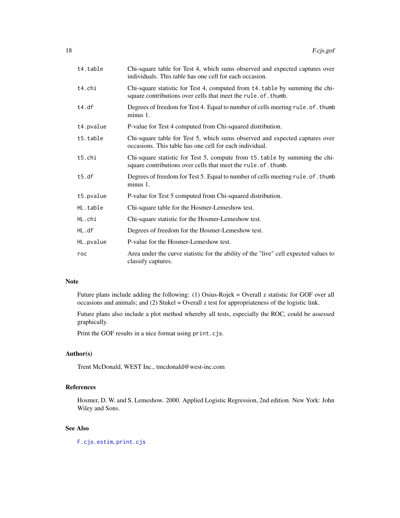<span id="page-17-0"></span>

| t4.table  | Chi-square table for Test 4, which sums observed and expected captures over<br>individuals. This table has one cell for each occasion.       |
|-----------|----------------------------------------------------------------------------------------------------------------------------------------------|
| t4.chi    | Chi-square statistic for Test 4, computed from t4. table by summing the chi-<br>square contributions over cells that meet the rule.of.thumb. |
| t4.df     | Degrees of freedom for Test 4. Equal to number of cells meeting rule. of. thumb<br>minus 1.                                                  |
| t4.pvalue | P-value for Test 4 computed from Chi-squared distribution.                                                                                   |
| t5.table  | Chi-square table for Test 5, which sums observed and expected captures over<br>occasions. This table has one cell for each individual.       |
| t5.chi    | Chi-square statistic for Test 5, compute from t5. table by summing the chi-<br>square contributions over cells that meet the rule.of.thumb.  |
| t5.df     | Degrees of freedom for Test 5. Equal to number of cells meeting rule. of. thumb<br>$minus 1$ .                                               |
| t5.pvalue | P-value for Test 5 computed from Chi-squared distribution.                                                                                   |
| HL.table  | Chi-square table for the Hosmer-Lemeshow test.                                                                                               |
| HL.chi    | Chi-square statistic for the Hosmer-Lemeshow test.                                                                                           |
| HL.df     | Degrees of freedom for the Hosmer-Lemeshow test.                                                                                             |
| HL.pvalue | P-value for the Hosmer-Lemeshow test.                                                                                                        |
| roc       | Area under the curve statistic for the ability of the "live" cell expected values to<br>classify captures.                                   |

# Note

Future plans include adding the following: (1) Osius-Rojek = Overall z statistic for GOF over all occasions and animals; and (2) Stukel = Overall z test for appropriateness of the logistic link.

Future plans also include a plot method whereby all tests, especially the ROC, could be assessed graphically.

Print the GOF results in a nice format using print.cjs.

# Author(s)

Trent McDonald, WEST Inc., tmcdonald@west-inc.com

# References

Hosmer, D. W. and S. Lemeshow. 2000. Applied Logistic Regression, 2nd edition. New York: John Wiley and Sons.

# See Also

[F.cjs.estim](#page-7-1), [print.cjs](#page-49-1)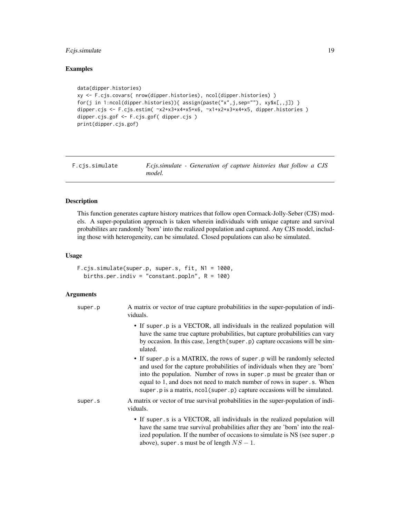# <span id="page-18-0"></span>F.cjs.simulate 19

# Examples

```
data(dipper.histories)
xy <- F.cjs.covars( nrow(dipper.histories), ncol(dipper.histories) )
for(j in 1:ncol(dipper.histories)){                assign(paste("x",j,sep=""), xy$x[,,j])                    }
dipper.cjs <- F.cjs.estim( ~x2+x3+x4+x5+x6, ~x1+x2+x3+x4+x5, dipper.histories )
dipper.cjs.gof <- F.cjs.gof( dipper.cjs )
print(dipper.cjs.gof)
```

| F.cis.simulate | F.cjs.simulate - Generation of capture histories that follow a CJS |  |  |  |
|----------------|--------------------------------------------------------------------|--|--|--|
|                | model.                                                             |  |  |  |

# Description

This function generates capture history matrices that follow open Cormack-Jolly-Seber (CJS) models. A super-population approach is taken wherein individuals with unique capture and survival probabilites are randomly 'born' into the realized population and captured. Any CJS model, including those with heterogeneity, can be simulated. Closed populations can also be simulated.

#### Usage

```
F.cjs.simulate(super.p, super.s, fit, N1 = 1000,
 births.per.indiv = "constant.popln", R = 100)
```
# Arguments

| super.p | A matrix or vector of true capture probabilities in the super-population of indi-<br>viduals.                                                                                                                                                                                                                                                                                            |
|---------|------------------------------------------------------------------------------------------------------------------------------------------------------------------------------------------------------------------------------------------------------------------------------------------------------------------------------------------------------------------------------------------|
|         | • If super p is a VECTOR, all individuals in the realized population will<br>have the same true capture probabilities, but capture probabilities can vary<br>by occasion. In this case, length (super.p) capture occasions will be sim-<br>ulated.                                                                                                                                       |
|         | • If super p is a MATRIX, the rows of super p will be randomly selected<br>and used for the capture probabilities of individuals when they are 'born'<br>into the population. Number of rows in super. p must be greater than or<br>equal to 1, and does not need to match number of rows in super.s. When<br>super. p is a matrix, ncol (super. p) capture occasions will be simulated. |
| super.s | A matrix or vector of true survival probabilities in the super-population of indi-<br>viduals.                                                                                                                                                                                                                                                                                           |
|         | • If super s is a VECTOR, all individuals in the realized population will<br>have the same true survival probabilities after they are 'born' into the real-<br>ized population. If the number of occasions to simulate is NS (see super.p<br>above), super . s must be of length $NS - 1$ .                                                                                              |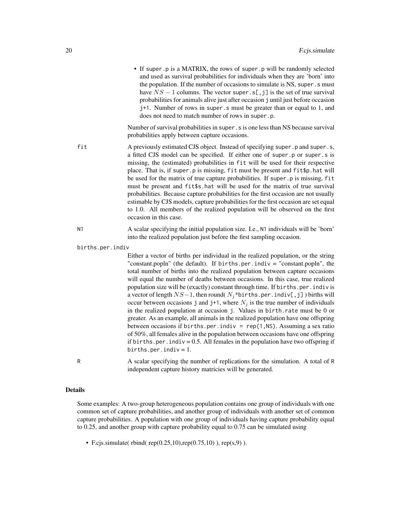• If super.p is a MATRIX, the rows of super.p will be randomly selected and used as survival probabilities for individuals when they are 'born' into the population. If the number of occasions to simulate is NS, super.s must have  $NS - 1$  columns. The vector super.s[,j] is the set of true survival probabilities for animals alive just after occasion j until just before occasion j+1. Number of rows in super.s must be greater than or equal to 1, and does not need to match number of rows in super.p.

Number of survival probabilities in super.s is one less than NS because survival probabilities apply between capture occasions.

- fit A previously estimated CJS object. Instead of specifying super.p and super.s, a fitted CJS model can be specified. If either one of super.p or super.s is missing, the (estimated) probabilities in fit will be used for their respective place. That is, if super.p is missing, fit must be present and fit\$p.hat will be used for the matrix of true capture probabilities. If super .p is missing, fit must be present and fit\$s.hat will be used for the matrix of true survival probabilities. Because capture probabilities for the first occasion are not usually estimable by CJS models, capture probabilities for the first occasion are set equal to 1.0. All members of the realized population will be observed on the first occasion in this case.
- N1 A scalar specifying the initial population size. I.e., N1 individuals will be 'born' into the realized population just before the first sampling occasion.
- births.per.indiv

Either a vector of births per individual in the realized population, or the string "constant.popln" (the default). If births.per.indiv = "constant.popln", the total number of births into the realized population between capture occasions will equal the number of deaths between occasions. In this case, true realized population size will be (exactly) constant through time. If births.per.indiv is a vector of length  $NS-1$ , then round(  $N_i^*$ births.per.indiv[,j]) births will occur between occasions j and j+1, where  $N_i$  is the true number of individuals in the realized population at occasion j. Values in birth.rate must be 0 or greater. As an example, all animals in the realized population have one offspring between occasions if births.per.indiv =  $rep(1, NS)$ . Assuming a sex ratio of 50%, all females alive in the population between occasions have one offspring if births.per.indiv =  $0.5$ . All females in the population have two offspring if births.per.indiv =  $1$ .

R A scalar specifying the number of replications for the simulation. A total of R independent capture history matricies will be generated.

#### Details

Some examples: A two-group heterogeneous population contains one group of individuals with one common set of capture probabilities, and another group of individuals with another set of common capture probabilities. A population with one group of individuals having capture probability equal to 0.25, and another group with capture probability equal to 0.75 can be simulated using

• F.cjs.simulate( rbind( rep( $0.25,10$ ),rep( $0.75,10$ )), rep( $(s,9)$ ).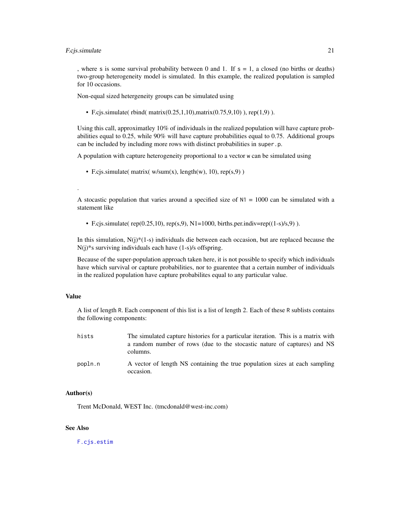#### <span id="page-20-0"></span>F.c.js.simulate 21

, where s is some survival probability between 0 and 1. If  $s = 1$ , a closed (no births or deaths) two-group heterogeneity model is simulated. In this example, the realized population is sampled for 10 occasions.

Non-equal sized hetergeneity groups can be simulated using

• F.cjs.simulate( rbind( matrix( $0.25, 1, 10$ ), matrix( $0.75, 9, 10$ )), rep(1,9)).

Using this call, approximatley 10% of individuals in the realized population will have capture probabilities equal to 0.25, while 90% will have capture probabilities equal to 0.75. Additional groups can be included by including more rows with distinct probabilities in super.p.

A population with capture heterogeneity proportional to a vector w can be simulated using

• F.cjs.simulate( matrix(  $w/sum(x)$ , length(w), 10), rep(s,9) )

A stocastic population that varies around a specified size of  $N1 = 1000$  can be simulated with a statement like

• F.cjs.simulate( $rep(0.25,10)$ ,  $rep(s,9)$ ,  $N1=1000$ , births.per.indiv=rep((1-s)/s,9)).

In this simulation, N(j)\*(1-s) individuals die between each occasion, but are replaced because the N(j)\*s surviving individuals each have (1-s)/s offspring.

Because of the super-population approach taken here, it is not possible to specify which individuals have which survival or capture probabilities, nor to guarentee that a certain number of individuals in the realized population have capture probabilites equal to any particular value.

#### Value

.

A list of length R. Each component of this list is a list of length 2. Each of these R sublists contains the following components:

| hists   | The simulated capture histories for a particular iteration. This is a matrix with        |
|---------|------------------------------------------------------------------------------------------|
|         | a random number of rows (due to the stocastic nature of captures) and NS                 |
|         | columns.                                                                                 |
| popln.n | A vector of length NS containing the true population sizes at each sampling<br>occasion. |

#### Author(s)

Trent McDonald, WEST Inc. (tmcdonald@west-inc.com)

#### See Also

[F.cjs.estim](#page-7-1)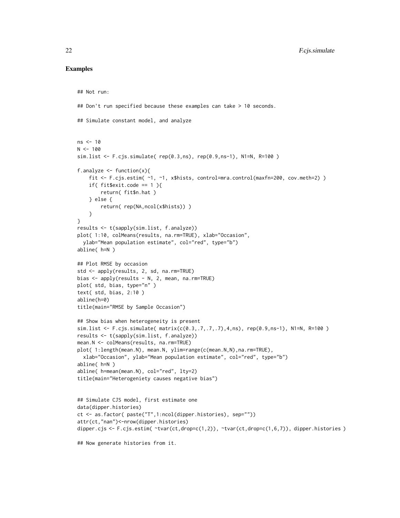# Examples

## Not run:

```
## Don't run specified because these examples can take > 10 seconds.
## Simulate constant model, and analyze
ns < -10N < - 100sim.list <- F.cjs.simulate( rep(0.3,ns), rep(0.9,ns-1), N1=N, R=100 )
f.analyze \leq function(x){
    fit <- F.cjs.estim( ~1, ~1, x$hists, control=mra.control(maxfn=200, cov.meth=2) )
    if( fit$exit.code == 1 ){
        return( fit$n.hat )
    } else {
        return( rep(NA,ncol(x$hists)) )
    }
}
results <- t(sapply(sim.list, f.analyze))
plot( 1:10, colMeans(results, na.rm=TRUE), xlab="Occasion",
  ylab="Mean population estimate", col="red", type="b")
abline( h=N )
## Plot RMSE by occasion
std <- apply(results, 2, sd, na.rm=TRUE)
bias <- apply(results - N, 2, mean, na.rm=TRUE)
plot( std, bias, type="n" )
text( std, bias, 2:10 )
abline(h=0)
title(main="RMSE by Sample Occasion")
## Show bias when heterogeneity is present
sim.list <- F.cjs.simulate( matrix(c(0.3,.7,.7,.7),4,ns), rep(0.9,ns-1), N1=N, R=100 )
results <- t(sapply(sim.list, f.analyze))
mean.N <- colMeans(results, na.rm=TRUE)
plot( 1:length(mean.N), mean.N, ylim=range(c(mean.N,N),na.rm=TRUE),
  xlab="Occasion", ylab="Mean population estimate", col="red", type="b")
abline( h=N )
abline( h=mean(mean.N), col="red", lty=2)
title(main="Heterogeniety causes negative bias")
## Simulate CJS model, first estimate one
data(dipper.histories)
ct <- as.factor( paste("T",1:ncol(dipper.histories), sep=""))
attr(ct,"nan")<-nrow(dipper.histories)
dipper.cjs <- F.cjs.estim( ~tvar(ct,drop=c(1,2)), ~tvar(ct,drop=c(1,6,7)), dipper.histories )
## Now generate histories from it.
```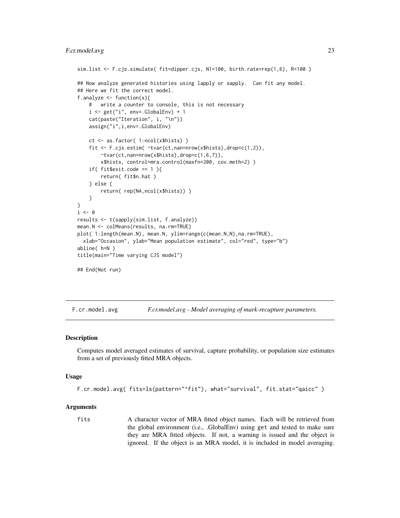# <span id="page-22-0"></span>F.cr. model.avg 23

```
sim.list <- F.cjs.simulate( fit=dipper.cjs, N1=100, birth.rate=rep(1,6), R=100 )
## Now analyze generated histories using lapply or sapply. Can fit any model.
## Here we fit the correct model.
f.analyze <- function(x){
    # write a counter to console, this is not necessary
    i \leq get("i", env=.GlobalEnv) + 1
    cat(paste("Iteration", i, "\n"))
    assign("i",i,env=.GlobalEnv)
    ct <- as.factor( 1:ncol(x$hists) )
    fit <- F.cjs.estim( ~tvar(ct,nan=nrow(x$hists),drop=c(1,2)),
        rtvar(ct,nan=nrow(x$hists),drop=c(1,6,7)),
        x$hists, control=mra.control(maxfn=200, cov.meth=2) )
    if( fit$exit.code == 1){
        return( fit$n.hat )
    } else {
        return( rep(NA,ncol(x$hists)) )
    }
}
i \leq -\emptysetresults <- t(sapply(sim.list, f.analyze))
mean.N <- colMeans(results, na.rm=TRUE)
plot( 1:length(mean.N), mean.N, ylim=range(c(mean.N,N),na.rm=TRUE),
  xlab="Occasion", ylab="Mean population estimate", col="red", type="b")
abline( h=N )
title(main="Time varying CJS model")
## End(Not run)
```
F.cr.model.avg *F.cr.model.avg - Model averaging of mark-recapture parameters.*

#### Description

Computes model averaged estimates of survival, capture probability, or population size estimates from a set of previously fitted MRA objects.

#### Usage

```
F.cr.model.avg( fits=ls(pattern="^fit"), what="survival", fit.stat="qaicc" )
```
#### Arguments

fits A character vector of MRA fitted object names. Each will be retrieved from the global environment (i.e., .GlobalEnv) using get and tested to make sure they are MRA fitted objects. If not, a warning is issued and the object is ignored. If the object is an MRA model, it is included in model averaging.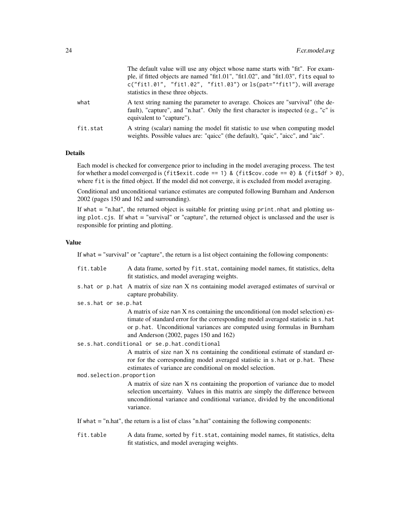|          | The default value will use any object whose name starts with "fit". For exam-<br>ple, if fitted objects are named "fit1.01", "fit1.02", and "fit1.03", fits equal to<br>$c("fit1.01", "fit1.02", "fit1.03")$ or $ls(pat="fit1")$ , will average<br>statistics in these three objects. |
|----------|---------------------------------------------------------------------------------------------------------------------------------------------------------------------------------------------------------------------------------------------------------------------------------------|
| what     | A text string naming the parameter to average. Choices are "survival" (the de-<br>fault), "capture", and "n.hat". Only the first character is inspected (e.g., "c" is<br>equivalent to "capture").                                                                                    |
| fit.stat | A string (scalar) naming the model fit statistic to use when computing model<br>weights. Possible values are: "qaicc" (the default), "qaic", "aicc", and "aic".                                                                                                                       |

# Details

Each model is checked for convergence prior to including in the model averaging process. The test for whether a model converged is (fit\$exit.code == 1) & (fit\$cov.code == 0) & (fit\$df > 0), where fit is the fitted object. If the model did not converge, it is excluded from model averaging.

Conditional and unconditional variance estimates are computed following Burnham and Anderson 2002 (pages 150 and 162 and surrounding).

If what  $=$  "n.hat", the returned object is suitable for printing using print.nhat and plotting using plot.cjs. If what = "survival" or "capture", the returned object is unclassed and the user is responsible for printing and plotting.

#### Value

If what = "survival" or "capture", the return is a list object containing the following components:

| fit.table                                                                                       | A data frame, sorted by fit.stat, containing model names, fit statistics, delta<br>fit statistics, and model averaging weights.                                                                                                                                                               |  |
|-------------------------------------------------------------------------------------------------|-----------------------------------------------------------------------------------------------------------------------------------------------------------------------------------------------------------------------------------------------------------------------------------------------|--|
|                                                                                                 | s. hat or p. hat A matrix of size nan X ns containing model averaged estimates of survival or<br>capture probability.                                                                                                                                                                         |  |
| se.s.hat or se.p.hat                                                                            |                                                                                                                                                                                                                                                                                               |  |
|                                                                                                 | A matrix of size nan X ns containing the unconditional (on model selection) es-<br>timate of standard error for the corresponding model averaged statistic in s. hat<br>or p. hat. Unconditional variances are computed using formulas in Burnham<br>and Anderson $(2002,$ pages 150 and 162) |  |
| se.s.hat.conditional or se.p.hat.conditional                                                    |                                                                                                                                                                                                                                                                                               |  |
| mod.selection.proportion                                                                        | A matrix of size nan X ns containing the conditional estimate of standard er-<br>ror for the corresponding model averaged statistic in s.hat or p.hat. These<br>estimates of variance are conditional on model selection.                                                                     |  |
|                                                                                                 | A matrix of size nan X ns containing the proportion of variance due to model                                                                                                                                                                                                                  |  |
|                                                                                                 | selection uncertainty. Values in this matrix are simply the difference between<br>unconditional variance and conditional variance, divided by the unconditional<br>variance.                                                                                                                  |  |
| If what $=$ "n.hat", the return is a list of class "n.hat" containing the following components: |                                                                                                                                                                                                                                                                                               |  |

fit.table A data frame, sorted by fit.stat, containing model names, fit statistics, delta fit statistics, and model averaging weights.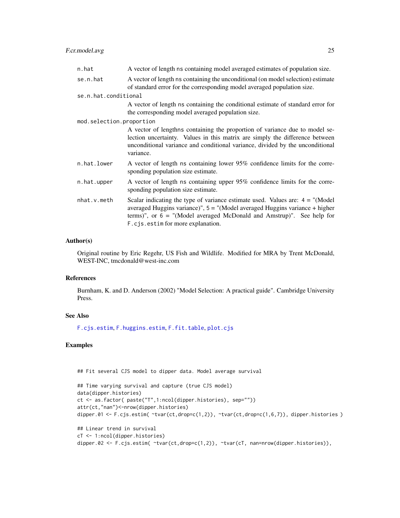# <span id="page-24-0"></span>F.cr.model.avg 25

| n.hat                    | A vector of length ns containing model averaged estimates of population size.                                                                                                                                                                                                         |
|--------------------------|---------------------------------------------------------------------------------------------------------------------------------------------------------------------------------------------------------------------------------------------------------------------------------------|
| se.n.hat                 | A vector of length ns containing the unconditional (on model selection) estimate<br>of standard error for the corresponding model averaged population size.                                                                                                                           |
| se.n.hat.conditional     |                                                                                                                                                                                                                                                                                       |
|                          | A vector of length ns containing the conditional estimate of standard error for<br>the corresponding model averaged population size.                                                                                                                                                  |
| mod.selection.proportion |                                                                                                                                                                                                                                                                                       |
|                          | A vector of lengthns containing the proportion of variance due to model se-<br>lection uncertainty. Values in this matrix are simply the difference between<br>unconditional variance and conditional variance, divided by the unconditional<br>variance.                             |
| n.hat.lower              | A vector of length ns containing lower 95% confidence limits for the corre-<br>sponding population size estimate.                                                                                                                                                                     |
| n.hat.upper              | A vector of length ns containing upper 95% confidence limits for the corre-<br>sponding population size estimate.                                                                                                                                                                     |
| nhat.v.meth              | Scalar indicating the type of variance estimate used. Values are: $4 =$ "(Model)<br>averaged Huggins variance)", $5 =$ "(Model averaged Huggins variance + higher<br>terms)", or $6 =$ "(Model averaged McDonald and Amstrup)". See help for<br>F.c. is. estime for more explanation. |

# Author(s)

Original routine by Eric Regehr, US Fish and Wildlife. Modified for MRA by Trent McDonald, WEST-INC, tmcdonald@west-inc.com

# References

Burnham, K. and D. Anderson (2002) "Model Selection: A practical guide". Cambridge University Press.

#### See Also

[F.cjs.estim](#page-7-1), [F.huggins.estim](#page-29-1), [F.fit.table](#page-27-1), [plot.cjs](#page-45-1)

# Examples

## Fit several CJS model to dipper data. Model average survival

```
## Time varying survival and capture (true CJS model)
data(dipper.histories)
ct <- as.factor( paste("T",1:ncol(dipper.histories), sep=""))
attr(ct,"nan")<-nrow(dipper.histories)
dipper.01 <- F.cjs.estim( ~tvar(ct,drop=c(1,2)), ~tvar(ct,drop=c(1,6,7)), dipper.histories )
```

```
## Linear trend in survival
cT <- 1:ncol(dipper.histories)
dipper.02 <- F.cjs.estim( ~tvar(ct,drop=c(1,2)), ~tvar(cT, nan=nrow(dipper.histories)),
```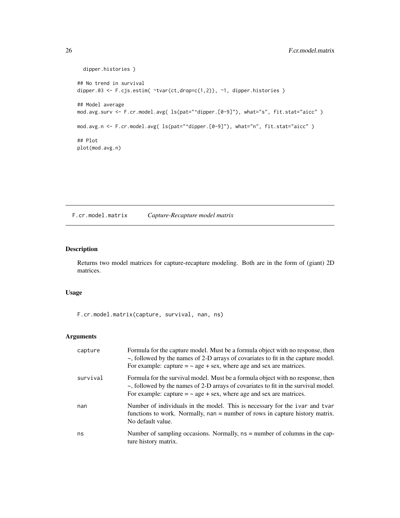```
dipper.histories )
## No trend in survival
dipper.03 <- F.cjs.estim( \tt -true \tt -true (1,2)), \tt -1, dipper.histories )
## Model average
mod.avg.surv <- F.cr.model.avg( ls(pat="^dipper.[0-9]"), what="s", fit.stat="aicc" )
mod.avg.n <- F.cr.model.avg( ls(pat="^dipper.[0-9]"), what="n", fit.stat="aicc" )
## Plot
plot(mod.avg.n)
```
<span id="page-25-1"></span>F.cr.model.matrix *Capture-Recapture model matrix*

# Description

Returns two model matrices for capture-recapture modeling. Both are in the form of (giant) 2D matrices.

# Usage

F.cr.model.matrix(capture, survival, nan, ns)

# Arguments

| capture  | Formula for the capture model. Must be a formula object with no response, then<br>$\sim$ , followed by the names of 2-D arrays of covariates to fit in the capture model.<br>For example: capture $=$ $\sim$ age + sex, where age and sex are matrices. |
|----------|---------------------------------------------------------------------------------------------------------------------------------------------------------------------------------------------------------------------------------------------------------|
| survival | Formula for the survival model. Must be a formula object with no response, then<br>~, followed by the names of 2-D arrays of covariates to fit in the survival model.<br>For example: capture $=$ $\sim$ age + sex, where age and sex are matrices.     |
| nan      | Number of individuals in the model. This is necessary for the ivar and tvar<br>functions to work. Normally, nan = number of rows in capture history matrix.<br>No default value.                                                                        |
| ns       | Number of sampling occasions. Normally, $ns =$ number of columns in the cap-<br>ture history matrix.                                                                                                                                                    |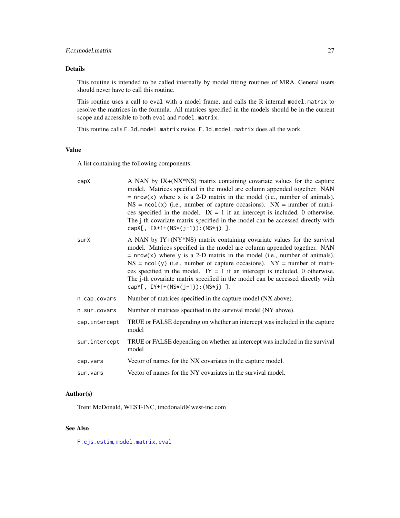# <span id="page-26-0"></span>Details

This routine is intended to be called internally by model fitting routines of MRA. General users should never have to call this routine.

This routine uses a call to eval with a model frame, and calls the R internal model.matrix to resolve the matrices in the formula. All matrices specified in the models should be in the current scope and accessible to both eval and model.matrix.

This routine calls F.3d.model.matrix twice. F.3d.model.matrix does all the work.

# Value

A list containing the following components:

| capX          | A NAN by IX+(NX*NS) matrix containing covariate values for the capture<br>model. Matrices specified in the model are column appended together. NAN<br>$=$ nrow(x) where x is a 2-D matrix in the model (i.e., number of animals).<br>$NS = \text{ncol}(x)$ (i.e., number of capture occasions). $NX =$ number of matri-<br>ces specified in the model. $IX = 1$ if an intercept is included, 0 otherwise.<br>The j-th covariate matrix specified in the model can be accessed directly with<br>capX[, $IX+1+(NS*(j-1))$ : $(NS*j)$ ].  |
|---------------|----------------------------------------------------------------------------------------------------------------------------------------------------------------------------------------------------------------------------------------------------------------------------------------------------------------------------------------------------------------------------------------------------------------------------------------------------------------------------------------------------------------------------------------|
| surX          | A NAN by IY+(NY*NS) matrix containing covariate values for the survival<br>model. Matrices specified in the model are column appended together. NAN<br>$=$ nrow(x) where y is a 2-D matrix in the model (i.e., number of animals).<br>$NS = \text{ncol}(y)$ (i.e., number of capture occasions). $NY =$ number of matri-<br>ces specified in the model. $IY = 1$ if an intercept is included, 0 otherwise.<br>The j-th covariate matrix specified in the model can be accessed directly with<br>capY[, $IY+1+(NS*(j-1))$ : $(NS*j)$ ]. |
| n.cap.covars  | Number of matrices specified in the capture model (NX above).                                                                                                                                                                                                                                                                                                                                                                                                                                                                          |
| n.sur.covars  | Number of matrices specified in the survival model (NY above).                                                                                                                                                                                                                                                                                                                                                                                                                                                                         |
| cap.intercept | TRUE or FALSE depending on whether an intercept was included in the capture<br>model                                                                                                                                                                                                                                                                                                                                                                                                                                                   |
| sur.intercept | TRUE or FALSE depending on whether an intercept was included in the survival<br>model                                                                                                                                                                                                                                                                                                                                                                                                                                                  |
| cap.vars      | Vector of names for the NX covariates in the capture model.                                                                                                                                                                                                                                                                                                                                                                                                                                                                            |
| sur.vars      | Vector of names for the NY covariates in the survival model.                                                                                                                                                                                                                                                                                                                                                                                                                                                                           |
|               |                                                                                                                                                                                                                                                                                                                                                                                                                                                                                                                                        |

# Author(s)

Trent McDonald, WEST-INC, tmcdonald@west-inc.com

# See Also

[F.cjs.estim](#page-7-1), [model.matrix](#page-0-0), [eval](#page-0-0)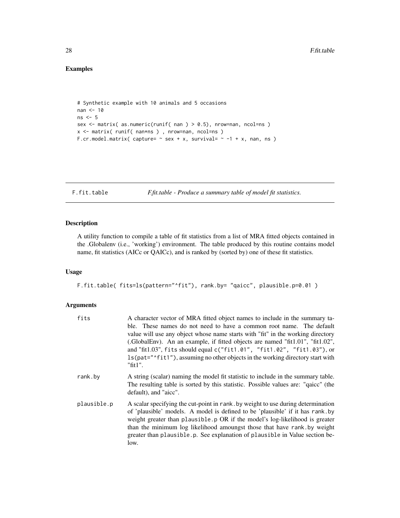# Examples

```
# Synthetic example with 10 animals and 5 occasions
nan <- 10
ns < -5sex <- matrix( as.numeric(runif( nan ) > 0.5), nrow=nan, ncol=ns )
x <- matrix( runif( nan*ns ) , nrow=nan, ncol=ns )
F.cr.model.matrix( capture= \sim sex + x, survival= \sim -1 + x, nan, ns )
```
<span id="page-27-1"></span>F.fit.table *F.fit.table - Produce a summary table of model fit statistics.*

# Description

A utility function to compile a table of fit statistics from a list of MRA fitted objects contained in the .Globalenv (i.e., 'working') environment. The table produced by this routine contains model name, fit statistics (AICc or QAICc), and is ranked by (sorted by) one of these fit statistics.

#### Usage

F.fit.table( fits=ls(pattern="^fit"), rank.by= "qaicc", plausible.p=0.01 )

# Arguments

| fits        | A character vector of MRA fitted object names to include in the summary ta-<br>ble. These names do not need to have a common root name. The default<br>value will use any object whose name starts with "fit" in the working directory<br>(GlobalEnv). An an example, if fitted objects are named "fit1.01", "fit1.02",<br>and "fit1.03", fits should equal c("fit1.01", "fit1.02", "fit1.03"), or<br>1s (pat="^fit1"), assuming no other objects in the working directory start with<br>" $fit1$ ". |
|-------------|------------------------------------------------------------------------------------------------------------------------------------------------------------------------------------------------------------------------------------------------------------------------------------------------------------------------------------------------------------------------------------------------------------------------------------------------------------------------------------------------------|
| rank.by     | A string (scalar) naming the model fit statistic to include in the summary table.<br>The resulting table is sorted by this statistic. Possible values are: "qaice" (the<br>default), and "aicc".                                                                                                                                                                                                                                                                                                     |
| plausible.p | A scalar specifying the cut-point in rank. by weight to use during determination<br>of 'plausible' models. A model is defined to be 'plausible' if it has rank.by<br>weight greater than plausible.p OR if the model's log-likelihood is greater<br>than the minimum log likelihood amoungst those that have rank by weight<br>greater than plausible.p. See explanation of plausible in Value section be-<br>low.                                                                                   |

<span id="page-27-0"></span>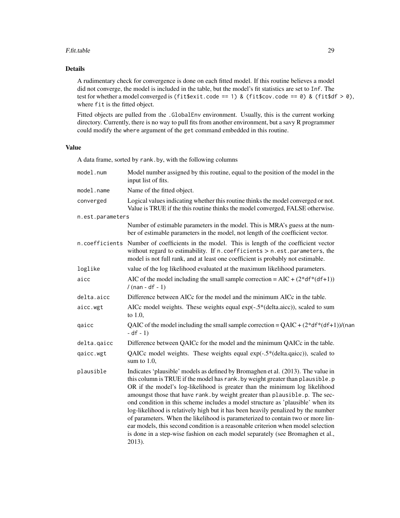#### F.fit.table 29

# Details

A rudimentary check for convergence is done on each fitted model. If this routine believes a model did not converge, the model is included in the table, but the model's fit statistics are set to Inf. The test for whether a model converged is (fit\$exit.code == 1) & (fit\$cov.code == 0) & (fit\$df > 0), where fit is the fitted object.

Fitted objects are pulled from the .GlobalEnv environment. Usually, this is the current working directory. Currently, there is no way to pull fits from another environment, but a savy R programmer could modify the where argument of the get command embedded in this routine.

# Value

A data frame, sorted by rank.by, with the following columns

| model.num        | Model number assigned by this routine, equal to the position of the model in the<br>input list of fits.                                                                                                                                                                                                                                                                                                                                                                                                                                                                                                                                                                                                                                                                      |
|------------------|------------------------------------------------------------------------------------------------------------------------------------------------------------------------------------------------------------------------------------------------------------------------------------------------------------------------------------------------------------------------------------------------------------------------------------------------------------------------------------------------------------------------------------------------------------------------------------------------------------------------------------------------------------------------------------------------------------------------------------------------------------------------------|
| model.name       | Name of the fitted object.                                                                                                                                                                                                                                                                                                                                                                                                                                                                                                                                                                                                                                                                                                                                                   |
| converged        | Logical values indicating whether this routine thinks the model converged or not.<br>Value is TRUE if the this routine thinks the model converged, FALSE otherwise.                                                                                                                                                                                                                                                                                                                                                                                                                                                                                                                                                                                                          |
| n.est.parameters |                                                                                                                                                                                                                                                                                                                                                                                                                                                                                                                                                                                                                                                                                                                                                                              |
|                  | Number of estimable parameters in the model. This is MRA's guess at the num-<br>ber of estimable parameters in the model, not length of the coefficient vector.                                                                                                                                                                                                                                                                                                                                                                                                                                                                                                                                                                                                              |
|                  | n.coefficients Number of coefficients in the model. This is length of the coefficient vector<br>without regard to estimability. If $n$ . coefficients $> n$ . est. parameters, the<br>model is not full rank, and at least one coefficient is probably not estimable.                                                                                                                                                                                                                                                                                                                                                                                                                                                                                                        |
| loglike          | value of the log likelihood evaluated at the maximum likelihood parameters.                                                                                                                                                                                                                                                                                                                                                                                                                                                                                                                                                                                                                                                                                                  |
| aicc             | AIC of the model including the small sample correction = $AIC + (2 * df * (df + 1))$<br>$/$ (nan - df - 1)                                                                                                                                                                                                                                                                                                                                                                                                                                                                                                                                                                                                                                                                   |
| delta.aicc       | Difference between AICc for the model and the minimum AICc in the table.                                                                                                                                                                                                                                                                                                                                                                                                                                                                                                                                                                                                                                                                                                     |
| aicc.wgt         | AICc model weights. These weights equal exp(-.5*(delta.aicc)), scaled to sum<br>to $1.0$ ,                                                                                                                                                                                                                                                                                                                                                                                                                                                                                                                                                                                                                                                                                   |
| qaicc            | QAIC of the model including the small sample correction = $QAIC + (2 * df * (df + 1))/(n$<br>$- df - 1)$                                                                                                                                                                                                                                                                                                                                                                                                                                                                                                                                                                                                                                                                     |
| delta.qaicc      | Difference between QAICc for the model and the minimum QAICc in the table.                                                                                                                                                                                                                                                                                                                                                                                                                                                                                                                                                                                                                                                                                                   |
| qaicc.wgt        | QAICc model weights. These weights equal exp(-.5*(delta.qaicc)), scaled to<br>sum to $1.0$ ,                                                                                                                                                                                                                                                                                                                                                                                                                                                                                                                                                                                                                                                                                 |
| plausible        | Indicates 'plausible' models as defined by Bromaghen et al. (2013). The value in<br>this column is TRUE if the model has rank. by weight greater than plausible. p<br>OR if the model's log-likelihood is greater than the minimum log likelihood<br>amoungst those that have rank. by weight greater than plausible. p. The sec-<br>ond condition in this scheme includes a model structure as 'plausible' when its<br>log-likelihood is relatively high but it has been heavily penalized by the number<br>of parameters. When the likelihood is parameterized to contain two or more lin-<br>ear models, this second condition is a reasonable criterion when model selection<br>is done in a step-wise fashion on each model separately (see Bromaghen et al.,<br>2013). |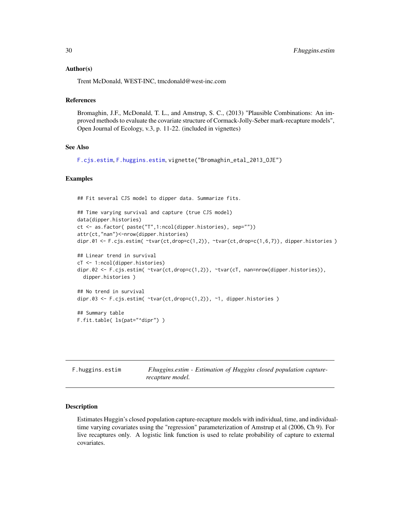#### <span id="page-29-0"></span>Author(s)

Trent McDonald, WEST-INC, tmcdonald@west-inc.com

# References

Bromaghin, J.F., McDonald, T. L., and Amstrup, S. C., (2013) "Plausible Combinations: An improved methods to evaluate the covariate structure of Cormack-Jolly-Seber mark-recapture models", Open Journal of Ecology, v.3, p. 11-22. (included in vignettes)

# See Also

```
F.cjs.estim, F.huggins.estim, vignette("Bromaghin_etal_2013_OJE")
```
#### Examples

## Fit several CJS model to dipper data. Summarize fits.

```
## Time varying survival and capture (true CJS model)
data(dipper.histories)
ct <- as.factor( paste("T",1:ncol(dipper.histories), sep=""))
attr(ct,"nan")<-nrow(dipper.histories)
dipr.01 <- F.cjs.estim( \tt -true \tt -true (t, drop=c(1,2)), \tt -true (t, drop=c(1,6,7)), dipper.histories )
## Linear trend in survival
cT <- 1:ncol(dipper.histories)
dipr.02 <- F.cjs.estim( ~tvar(ct,drop=c(1,2)), ~tvar(cT, nan=nrow(dipper.histories)),
 dipper.histories )
## No trend in survival
dipr.03 <- F.cjs.estim( \ttvar(ct,drop=c(1,2)), ~1, dipper.histories )
## Summary table
F.fit.table( ls(pat="^dipr") )
```
<span id="page-29-1"></span>

| F.huggins.estim | F.huggins.estim - Estimation of Huggins closed population capture- |
|-----------------|--------------------------------------------------------------------|
|                 | recapture model.                                                   |

# Description

Estimates Huggin's closed population capture-recapture models with individual, time, and individualtime varying covariates using the "regression" parameterization of Amstrup et al (2006, Ch 9). For live recaptures only. A logistic link function is used to relate probability of capture to external covariates.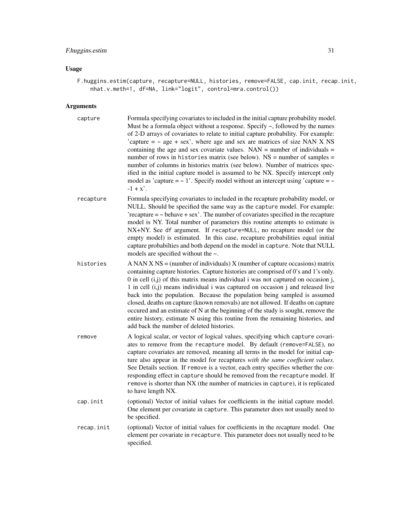# F.huggins.estim 31

# Usage

F.huggins.estim(capture, recapture=NULL, histories, remove=FALSE, cap.init, recap.init, nhat.v.meth=1, df=NA, link="logit", control=mra.control())

# Arguments

| capture    | Formula specifying covariates to included in the initial capture probability model.<br>Must be a formula object without a response. Specify $\sim$ , followed by the names<br>of 2-D arrays of covariates to relate to initial capture probability. For example:<br>'capture $=$ $\sim$ age + sex', where age and sex are matrices of size NAN X NS<br>containing the age and sex covariate values. $NAN =$ number of individuals =<br>number of rows in histories matrix (see below). $NS =$ number of samples =<br>number of columns in histories matrix (see below). Number of matrices spec-<br>ified in the initial capture model is assumed to be NX. Specify intercept only<br>model as 'capture = $\sim$ 1'. Specify model without an intercept using 'capture = $\sim$<br>$-1 + x'$ . |
|------------|------------------------------------------------------------------------------------------------------------------------------------------------------------------------------------------------------------------------------------------------------------------------------------------------------------------------------------------------------------------------------------------------------------------------------------------------------------------------------------------------------------------------------------------------------------------------------------------------------------------------------------------------------------------------------------------------------------------------------------------------------------------------------------------------|
| recapture  | Formula specifying covariates to included in the recapture probability model, or<br>NULL. Should be specified the same way as the capture model. For example:<br>'recapture $=$ $\sim$ behave $+$ sex'. The number of covariates specified in the recapture<br>model is NY. Total number of parameters this routine attempts to estimate is<br>NX+NY. See df argument. If recapture=NULL, no recapture model (or the<br>empty model) is estimated. In this case, recapture probabilities equal initial<br>capture probabilties and both depend on the model in capture. Note that NULL<br>models are specified without the $\sim$ .                                                                                                                                                            |
| histories  | A NAN X NS = (number of individuals) X (number of capture occasions) matrix<br>containing capture histories. Capture histories are comprised of 0's and 1's only.<br>0 in cell $(i, j)$ of this matrix means individual i was not captured on occasion j,<br>1 in cell (i,j) means individual i was captured on occasion j and released live<br>back into the population. Because the population being sampled is assumed<br>closed, deaths on capture (known removals) are not allowed. If deaths on capture<br>occured and an estimate of N at the beginning of the study is sought, remove the<br>entire history, estimate N using this routine from the remaining histories, and<br>add back the number of deleted histories.                                                              |
| remove     | A logical scalar, or vector of logical values, specifying which capture covari-<br>ates to remove from the recapture model. By default (remove=FALSE), no<br>capture covariates are removed, meaning all terms in the model for initial cap-<br>ture also appear in the model for recaptures with the same coefficient values.<br>See Details section. If remove is a vector, each entry specifies whether the cor-<br>responding effect in capture should be removed from the recapture model. If<br>remove is shorter than NX (the number of matricies in capture), it is replicated<br>to have length NX.                                                                                                                                                                                   |
| cap.init   | (optional) Vector of initial values for coefficients in the initial capture model.<br>One element per covariate in capture. This parameter does not usually need to<br>be specified.                                                                                                                                                                                                                                                                                                                                                                                                                                                                                                                                                                                                           |
| recap.init | (optional) Vector of initial values for coefficients in the recapture model. One<br>element per covariate in recapture. This parameter does not usually need to be<br>specified.                                                                                                                                                                                                                                                                                                                                                                                                                                                                                                                                                                                                               |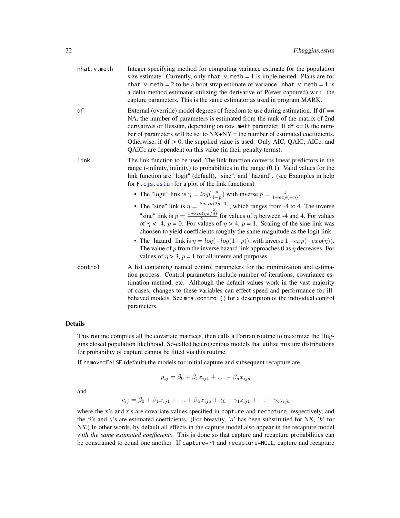<span id="page-31-0"></span>

| nhat.v.meth | Integer specifying method for computing variance estimate for the population<br>size estimate. Currently, only $nhat.v.$ meth = 1 is implemented. Plans are for<br>nhat. v. meth = 2 to be a boot strap estimate of variance. nhat. v. meth = 1 is<br>a delta method estimator utilizing the derivative of P(ever captured) w.r.t. the<br>capture parameters. This is the same estimator as used in program MARK.                                                                                                                                                                                                                 |
|-------------|-----------------------------------------------------------------------------------------------------------------------------------------------------------------------------------------------------------------------------------------------------------------------------------------------------------------------------------------------------------------------------------------------------------------------------------------------------------------------------------------------------------------------------------------------------------------------------------------------------------------------------------|
| df          | External (override) model degrees of freedom to use during estimation. If $df =$<br>NA, the number of parameters is estimated from the rank of the matrix of 2nd<br>derivatives or Hessian, depending on cov. meth parameter. If $df \leq 0$ , the num-<br>ber of parameters will be set to $NX+NY =$ the number of estimated coefficients.<br>Otherwise, if $df > 0$ , the supplied value is used. Only AIC, QAIC, AICc, and<br>QAICc are dependent on this value (in their penalty terms).                                                                                                                                      |
| link        | The link function to be used. The link function converts linear predictors in the<br>range (-infinity, infinity) to probabilities in the range $(0,1)$ . Valid values for the<br>link function are "logit" (default), "sine", and "hazard". (see Examples in help<br>for $F$ . c js. estime for a plot of the link functions)                                                                                                                                                                                                                                                                                                     |
|             | • The "logit" link is $\eta = log(\frac{p}{1-p})$ with inverse $p = \frac{1}{1+exp(-\eta)}$ .                                                                                                                                                                                                                                                                                                                                                                                                                                                                                                                                     |
|             | • The "sine" link is $\eta = \frac{8asin(2p-1)}{\pi}$ , which ranges from -4 to 4. The inverse<br>"sine" link is $p = \frac{1 + \sin(\eta \pi/8)}{2}$ for values of $\eta$ between -4 and 4. For values<br>of $\eta$ < -4, $p = 0$ . For values of $\eta > 4$ , $p = 1$ . Scaling of the sine link was<br>choosen to yield coefficients roughly the same magnitude as the logit link.<br>• The "hazard" link is $\eta = log(-log(1-p))$ , with inverse $1-exp(-exp(\eta))$ .<br>The value of p from the inverse hazard link approaches 0 as $\eta$ decreases. For<br>values of $\eta > 3$ , $p = 1$ for all intents and purposes. |
| control     | A list containing named control parameters for the minimization and estima-<br>tion process. Control parameters include number of iterations, covariance es-<br>timation method, etc. Although the default values work in the vast majority<br>of cases, changes to these variables can effect speed and performance for ill-<br>behaved models. See mra.control() for a description of the individual control<br>parameters.                                                                                                                                                                                                     |

# Details

This routine compiles all the covariate matrices, then calls a Fortran routine to maximize the Huggins closed population likelihood. So-called heterogenious models that utilize mixture distributions for probability of capture cannot be fitted via this routine.

If remove=FALSE (default) the models for initial capture and subsequent recapture are,

$$
p_{ij} = \beta_0 + \beta_1 x_{ij1} + \ldots + \beta_a x_{ija}
$$

and

$$
c_{ij} = \beta_0 + \beta_1 x_{ij1} + \ldots + \beta_a x_{ija} + \gamma_0 + \gamma_1 z_{ij1} + \ldots + \gamma_b z_{ijb}
$$

where the x's and z's are covariate values specified in capture and recapture, respectively, and the β's and γ's are estimated coefficients. (For breavity, '*a*' has been substitutied for NX, '*b*' for NY.) In other words, by default all effects in the capture model also appear in the recapture model *with the same estimated coefficients*. This is done so that capture and recapture probabilities can be constrained to equal one another. If capture=~1 and recapture=NULL, capture and recapture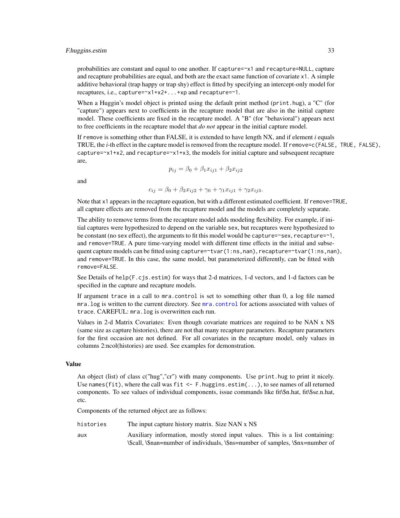#### <span id="page-32-0"></span>F.huggins.estim 33

probabilities are constant and equal to one another. If capture=~x1 and recapture=NULL, capture and recapture probabilities are equal, and both are the exact same function of covariate x1. A simple additive behavioral (trap happy or trap shy) effect is fitted by specifying an intercept-only model for recaptures, i.e., capture=~x1+x2+...+xp and recapture=~1.

When a Huggin's model object is printed using the default print method (print.hug), a "C" (for "capture") appears next to coefficients in the recapture model that are also in the initial capture model. These coefficients are fixed in the recapture model. A "B" (for "behavioral") appears next to free coefficients in the recapture model that *do not* appear in the initial capture model.

If remove is something other than FALSE, it is extended to have length NX, and if element *i* equals TRUE, the *i*-th effect in the capture model is removed from the recapture model. If remove=c(FALSE, TRUE, FALSE), capture= $-x1+x2$ , and recapture= $-x1+x3$ , the models for initial capture and subsequent recapture are,

$$
p_{ij} = \beta_0 + \beta_1 x_{ij1} + \beta_2 x_{ij2}
$$

and

$$
c_{ij} = \beta_0 + \beta_2 x_{ij2} + \gamma_0 + \gamma_1 x_{ij1} + \gamma_2 x_{ij3}.
$$

Note that x1 appears in the recapture equation, but with a different estimated coefficient. If remove=TRUE, all capture effects are removed from the recapture model and the models are completely separate.

The ability to remove terms from the recapture model adds modeling flexibility. For example, if initial captures were hypothesized to depend on the variable sex, but recaptures were hypothesized to be constant (no sex effect), the arguments to fit this model would be capture=~sex, recapture=~1, and remove=TRUE. A pure time-varying model with different time effects in the initial and subsequent capture models can be fitted using capture=~tvar(1:ns,nan), recapture=~tvar(1:ns,nan), and remove=TRUE. In this case, the same model, but parameterized differently, can be fitted with remove=FALSE.

See Details of help(F.cjs.estim) for ways that 2-d matrices, 1-d vectors, and 1-d factors can be specified in the capture and recapture models.

If argument trace in a call to mra.control is set to something other than 0, a log file named mra.log is written to the current directory. See [mra.control](#page-43-1) for actions associated with values of trace. CAREFUL: mra.log is overwritten each run.

Values in 2-d Matrix Covariates: Even though covariate matrices are required to be NAN x NS (same size as capture histories), there are not that many recapture parameters. Recapture parameters for the first occasion are not defined. For all covariates in the recapture model, only values in columns 2:ncol(histories) are used. See examples for demonstration.

#### Value

An object (list) of class c("hug","cr") with many components. Use print.hug to print it nicely. Use names(fit), where the call was fit  $\leq$  - F. huggins. estim(...), to see names of all returned components. To see values of individual components, issue commands like fit\\$n.hat, fit\\$se.n.hat, etc.

Components of the returned object are as follows:

- histories The input capture history matrix. Size NAN x NS
- aux Auxiliary information, mostly stored input values. This is a list containing: \\$call, \\$nan=number of individuals, \\$ns=number of samples, \\$nx=number of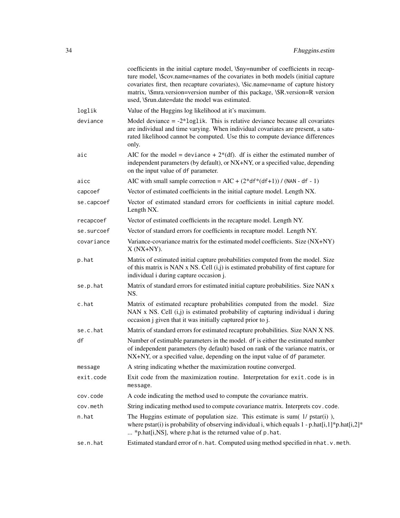|            | coefficients in the initial capture model, \\$ny=number of coefficients in recap-<br>ture model, \\$cov.name=names of the covariates in both models (initial capture<br>covariates first, then recapture covariates), \\$ic.name=name of capture history<br>matrix, <i>\\$mra.version=version number of this package</i> , <i>\\$R.version=R version</i><br>used, \\$run.date=date the model was estimated. |
|------------|-------------------------------------------------------------------------------------------------------------------------------------------------------------------------------------------------------------------------------------------------------------------------------------------------------------------------------------------------------------------------------------------------------------|
| loglik     | Value of the Huggins log likelihood at it's maximum.                                                                                                                                                                                                                                                                                                                                                        |
| deviance   | Model deviance $= -2*log 1$ ik. This is relative deviance because all covariates<br>are individual and time varying. When individual covariates are present, a satu-<br>rated likelihood cannot be computed. Use this to compute deviance differences<br>only.                                                                                                                                              |
| aic        | AIC for the model = deviance + $2*(df)$ . df is either the estimated number of<br>independent parameters (by default), or NX+NY, or a specified value, depending<br>on the input value of df parameter.                                                                                                                                                                                                     |
| aicc       | AIC with small sample correction = $AIC + (2 * df * (df + 1)) / (NAN - df - 1)$                                                                                                                                                                                                                                                                                                                             |
| capcoef    | Vector of estimated coefficients in the initial capture model. Length NX.                                                                                                                                                                                                                                                                                                                                   |
| se.capcoef | Vector of estimated standard errors for coefficients in initial capture model.<br>Length NX.                                                                                                                                                                                                                                                                                                                |
| recapcoef  | Vector of estimated coefficients in the recapture model. Length NY.                                                                                                                                                                                                                                                                                                                                         |
| se.surcoef | Vector of standard errors for coefficients in recapture model. Length NY.                                                                                                                                                                                                                                                                                                                                   |
| covariance | Variance-covariance matrix for the estimated model coefficients. Size (NX+NY)<br>$X(NX+NY)$ .                                                                                                                                                                                                                                                                                                               |
| p.hat      | Matrix of estimated initial capture probabilities computed from the model. Size<br>of this matrix is NAN x NS. Cell (i,j) is estimated probability of first capture for<br>individual i during capture occasion j.                                                                                                                                                                                          |
| se.p.hat   | Matrix of standard errors for estimated initial capture probabilities. Size NAN x<br>NS.                                                                                                                                                                                                                                                                                                                    |
| c.hat      | Matrix of estimated recapture probabilities computed from the model. Size<br>NAN x NS. Cell (i,j) is estimated probability of capturing individual i during<br>occasion j given that it was initially captured prior to j.                                                                                                                                                                                  |
| se.c.hat   | Matrix of standard errors for estimated recapture probabilities. Size NAN X NS.                                                                                                                                                                                                                                                                                                                             |
| df         | Number of estimable parameters in the model. df is either the estimated number<br>of independent parameters (by default) based on rank of the variance matrix, or<br>NX+NY, or a specified value, depending on the input value of df parameter.                                                                                                                                                             |
| message    | A string indicating whether the maximization routine converged.                                                                                                                                                                                                                                                                                                                                             |
| exit.code  | Exit code from the maximization routine. Interpretation for exit.code is in<br>message.                                                                                                                                                                                                                                                                                                                     |
| cov.code   | A code indicating the method used to compute the covariance matrix.                                                                                                                                                                                                                                                                                                                                         |
| cov.meth   | String indicating method used to compute covariance matrix. Interprets cov.code.                                                                                                                                                                                                                                                                                                                            |
| n.hat      | The Huggins estimate of population size. This estimate is sum( $1/$ pstar(i)),<br>where pstar(i) is probability of observing individual i, which equals $1$ - p.hat $[i,1]^*$ p.hat $[i,2]^*$<br>* p.hat[i,NS], where p.hat is the returned value of p.hat.                                                                                                                                                 |
| se.n.hat   | Estimated standard error of n.hat. Computed using method specified in nhat. v.meth.                                                                                                                                                                                                                                                                                                                         |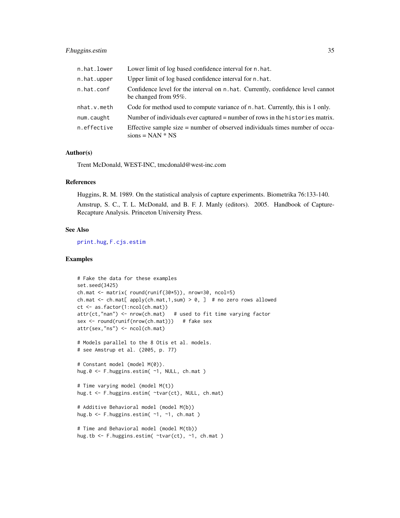<span id="page-34-0"></span>

| n.hat.lower | Lower limit of log based confidence interval for n. hat.                                                |
|-------------|---------------------------------------------------------------------------------------------------------|
| n.hat.upper | Upper limit of log based confidence interval for n.hat.                                                 |
| n.hat.conf  | Confidence level for the interval on n. hat. Currently, confidence level cannot<br>be changed from 95%. |
| nhat.v.meth | Code for method used to compute variance of n. hat. Currently, this is 1 only.                          |
| num.caught  | Number of individuals ever captured = number of rows in the histories matrix.                           |
| n.effective | Effective sample size = number of observed individuals times number of occa-<br>$sions = NAN * NS$      |

#### Author(s)

Trent McDonald, WEST-INC, tmcdonald@west-inc.com

#### References

Huggins, R. M. 1989. On the statistical analysis of capture experiments. Biometrika 76:133-140.

Amstrup, S. C., T. L. McDonald, and B. F. J. Manly (editors). 2005. Handbook of Capture-Recapture Analysis. Princeton University Press.

# See Also

[print.hug](#page-50-1), [F.cjs.estim](#page-7-1)

# Examples

```
# Fake the data for these examples
set.seed(3425)
ch.mat <- matrix( round(runif(30*5)), nrow=30, ncol=5)
ch.mat <- ch.mat[ apply(ch.max, 1, sum) > 0, ] # no zero rows allowed
ct <- as.factor(1:ncol(ch.mat))
attr(ct,"nan") <- nrow(ch.mat) # used to fit time varying factor
sex <- round(runif(nrow(ch.mat))) # fake sex
attr(sex,"ns") <- ncol(ch.mat)
# Models parallel to the 8 Otis et al. models.
# see Amstrup et al. (2005, p. 77)
# Constant model (model M(0)).
hug.0 <- F.huggins.estim( ~1, NULL, ch.mat )
# Time varying model (model M(t))
hug.t <- F.huggins.estim( ~tvar(ct), NULL, ch.mat)
# Additive Behavioral model (model M(b))
hug.b <- F.huggins.estim( ~1, ~1, ch.mat )
# Time and Behavioral model (model M(tb))
hug.tb <- F.huggins.estim( ~tvar(ct), ~1, ch.mat )
```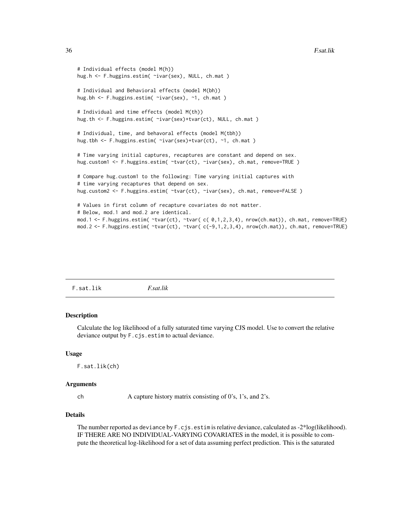```
# Individual effects (model M(h))
hug.h <- F.huggins.estim( ~ivar(sex), NULL, ch.mat )
# Individual and Behavioral effects (model M(bh))
hug.bh <- F.huggins.estim( ~ivar(sex), ~1, ch.mat )
# Individual and time effects (model M(th))
hug.th <- F.huggins.estim( ~ivar(sex)+tvar(ct), NULL, ch.mat )
# Individual, time, and behavoral effects (model M(tbh))
hug.tbh <- F.huggins.estim( ~ivar(sex)+tvar(ct), ~1, ch.mat )
# Time varying initial captures, recaptures are constant and depend on sex.
hug.custom1 <- F.huggins.estim( ~tvar(ct), ~ivar(sex), ch.mat, remove=TRUE )
# Compare hug.custom1 to the following: Time varying initial captures with
# time varying recaptures that depend on sex.
hug.custom2 <- F.huggins.estim( ~tvar(ct), ~ivar(sex), ch.mat, remove=FALSE )
# Values in first column of recapture covariates do not matter.
# Below, mod.1 and mod.2 are identical.
mod.1 <- F.huggins.estim( ~tvar(ct), ~tvar( c( 0,1,2,3,4), nrow(ch.mat)), ch.mat, remove=TRUE)
mod.2 <- F.huggins.estim( ~tvar(ct), ~tvar( c(-9,1,2,3,4), nrow(ch.mat)), ch.mat, remove=TRUE)
```

| F.sat.lik | <i>F.sat.lik</i> |
|-----------|------------------|
|           |                  |

#### Description

Calculate the log likelihood of a fully saturated time varying CJS model. Use to convert the relative deviance output by F.cjs.estim to actual deviance.

#### Usage

F.sat.lik(ch)

#### Arguments

ch A capture history matrix consisting of 0's, 1's, and 2's.

# Details

The number reported as deviance by F.cjs.estim is relative deviance, calculated as -2\*log(likelihood). IF THERE ARE NO INDIVIDUAL-VARYING COVARIATES in the model, it is possible to compute the theoretical log-likelihood for a set of data assuming perfect prediction. This is the saturated

<span id="page-35-0"></span>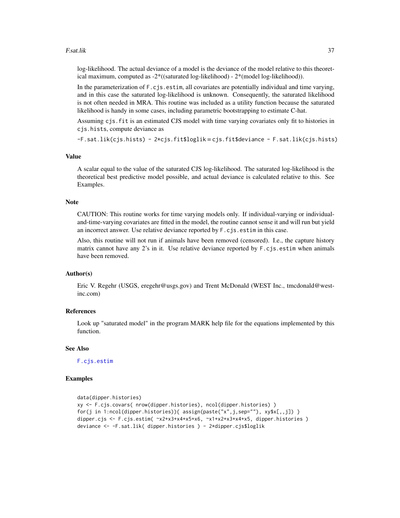#### <span id="page-36-0"></span>F.sat.lik 37

log-likelihood. The actual deviance of a model is the deviance of the model relative to this theoretical maximum, computed as -2\*((saturated log-likelihood) - 2\*(model log-likelihood)).

In the parameterization of  $F \ncis.estim$ , all covariates are potentially individual and time varying, and in this case the saturated log-likelihood is unknown. Consequently, the saturated likelihood is not often needed in MRA. This routine was included as a utility function because the saturated likelihood is handy in some cases, including parametric bootstrapping to estimate C-hat.

Assuming cjs.fit is an estimated CJS model with time varying covariates only fit to histories in cjs.hists, compute deviance as

-F.sat.lik(cjs.hists) - 2\*cjs.fit\$loglik = cjs.fit\$deviance - F.sat.lik(cjs.hists)

#### Value

A scalar equal to the value of the saturated CJS log-likelihood. The saturated log-likelihood is the theoretical best predictive model possible, and actual deviance is calculated relative to this. See Examples.

#### **Note**

CAUTION: This routine works for time varying models only. If individual-varying or individualand-time-varying covariates are fitted in the model, the routine cannot sense it and will run but yield an incorrect answer. Use relative deviance reported by F.cjs.estim in this case.

Also, this routine will not run if animals have been removed (censored). I.e., the capture history matrix cannot have any 2's in it. Use relative deviance reported by F.cjs.estim when animals have been removed.

#### Author(s)

Eric V. Regehr (USGS, eregehr@usgs.gov) and Trent McDonald (WEST Inc., tmcdonald@westinc.com)

#### References

Look up "saturated model" in the program MARK help file for the equations implemented by this function.

# See Also

[F.cjs.estim](#page-7-1)

#### Examples

```
data(dipper.histories)
xy <- F.cjs.covars( nrow(dipper.histories), ncol(dipper.histories) )
for(j in 1:ncol(dipper.histories)){                assign(paste("x",j,sep=""), xy$x[,,j])                    }
dipper.cjs <- F.cjs.estim( ~x2+x3+x4+x5+x6, ~x1+x2+x3+x4+x5, dipper.histories )
deviance <- -F.sat.lik( dipper.histories ) - 2*dipper.cjs$loglik
```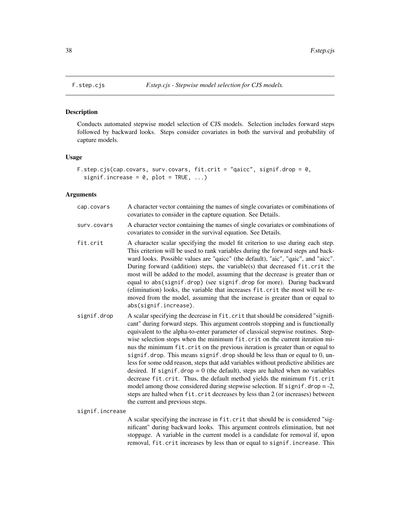<span id="page-37-0"></span>

# Description

Conducts automated stepwise model selection of CJS models. Selection includes forward steps followed by backward looks. Steps consider covariates in both the survival and probability of capture models.

#### Usage

```
F.step.cjs(cap.covars, surv.covars, fit.crit = "qaicc", signif.drop = 0,
  signif.increase = 0, plot = TRUE, ...)
```
# Arguments

| cap.covars      | A character vector containing the names of single covariates or combinations of<br>covariates to consider in the capture equation. See Details.                                                                                                                                                                                                                                                                                                                                                                                                                                                                                                                                                                                                                                                                                                                                                                                                                     |
|-----------------|---------------------------------------------------------------------------------------------------------------------------------------------------------------------------------------------------------------------------------------------------------------------------------------------------------------------------------------------------------------------------------------------------------------------------------------------------------------------------------------------------------------------------------------------------------------------------------------------------------------------------------------------------------------------------------------------------------------------------------------------------------------------------------------------------------------------------------------------------------------------------------------------------------------------------------------------------------------------|
| surv.covars     | A character vector containing the names of single covariates or combinations of<br>covariates to consider in the survival equation. See Details.                                                                                                                                                                                                                                                                                                                                                                                                                                                                                                                                                                                                                                                                                                                                                                                                                    |
| fit.crit        | A character scalar specifying the model fit criterion to use during each step.<br>This criterion will be used to rank variables during the forward steps and back-<br>ward looks. Possible values are "qaicc" (the default), "aic", "qaic", and "aicc".<br>During forward (addition) steps, the variable(s) that decreased fit.crit the<br>most will be added to the model, assuming that the decrease is greater than or<br>equal to abs(signif.drop) (see signif.drop for more). During backward<br>(elimination) looks, the variable that increases fit.crit the most will be re-<br>moved from the model, assuming that the increase is greater than or equal to<br>abs(signif.increase).                                                                                                                                                                                                                                                                       |
| signif.drop     | A scalar specifying the decrease in fit.crit that should be considered "signifi-<br>cant" during forward steps. This argument controls stopping and is functionally<br>equivalent to the alpha-to-enter parameter of classical stepwise routines. Step-<br>wise selection stops when the minimum fit.crit on the current iteration mi-<br>nus the minimum fit.crit on the previous iteration is greater than or equal to<br>signif.drop. This means signif.drop should be less than or equal to 0, un-<br>less for some odd reason, steps that add variables without predictive abilities are<br>desired. If signif.drop = $0$ (the default), steps are halted when no variables<br>decrease fit.crit. Thus, the default method yields the minimum fit.crit<br>model among those considered during stepwise selection. If $signif.drop = -2$ ,<br>steps are halted when fit.crit decreases by less than 2 (or increases) between<br>the current and previous steps. |
| signif.increase |                                                                                                                                                                                                                                                                                                                                                                                                                                                                                                                                                                                                                                                                                                                                                                                                                                                                                                                                                                     |
|                 | $\Delta$ scalar specifying the increase in fit crit that should be is considered "sig-                                                                                                                                                                                                                                                                                                                                                                                                                                                                                                                                                                                                                                                                                                                                                                                                                                                                              |

A scalar specifying the increase in fit.crit that should be is considered "significant" during backward looks. This argument controls elimination, but not stoppage. A variable in the current model is a candidate for removal if, upon removal, fit.crit increases by less than or equal to signif.increase. This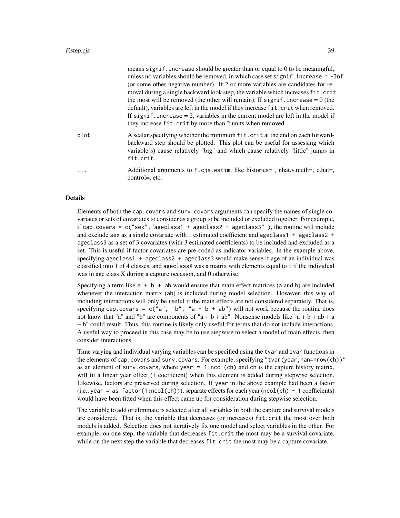|          | means signif. increase should be greater than or equal to $0$ to be meaningful,<br>unless no variables should be removed, in which case set signif. increase $= -Inf$<br>(or some other negative number). If 2 or more variables are candidates for re-<br>moval during a single backward look step, the variable which increases fit.crit<br>the most will be removed (the other will remain). If signif, increase $= 0$ (the<br>default), variables are left in the model if they increase fit.crit when removed.<br>If signif, increase $= 2$ , variables in the current model are left in the model if<br>they increase fit.crit by more than 2 units when removed. |
|----------|-------------------------------------------------------------------------------------------------------------------------------------------------------------------------------------------------------------------------------------------------------------------------------------------------------------------------------------------------------------------------------------------------------------------------------------------------------------------------------------------------------------------------------------------------------------------------------------------------------------------------------------------------------------------------|
| plot     | A scalar specifying whether the minimum fit.crit at the end on each forward-<br>backward step should be plotted. This plot can be useful for assessing which<br>variable(s) cause relatively "big" and which cause relatively "little" jumps in<br>fit.crit.                                                                                                                                                                                                                                                                                                                                                                                                            |
| $\cdots$ | Additional arguments to F.c. is. estim, like histories = , nhat.v.meth =, c.hat =,<br>control= $, etc.$                                                                                                                                                                                                                                                                                                                                                                                                                                                                                                                                                                 |

#### Details

Elements of both the cap.covars and surv.covars arguments can specify the names of single covariates or sets of covariates to consider as a group to be included or excluded together. For example, if cap.covars =  $c("sex", "ageclass1 + ageclass2 + ageclass3" )$ , the routine will include and exclude sex as a single covariate with 1 estimated coefficient and ageclass1 + ageclass2 + ageclass3 as a set of 3 covariates (with 3 estimated coefficients) to be included and excluded as a set. This is useful if factor covariates are pre-coded as indicator variables. In the example above, specifying ageclass1 + ageclass2 + ageclass3 would make sense if age of an individual was classified into 1 of 4 classes, and ageclassX was a matrix with elements equal to 1 if the individual was in age class X during a capture occasion, and 0 otherwise.

Specifying a term like  $a + b + ab$  would ensure that main effect matrices (a and b) are included whenever the interaction matrix (ab) is included during model selection. However, this way of including interactions will only be useful if the main effects are not considered separately. That is, specifying cap.covars = c("a", "b", "a + b + ab") will not work because the routine does not know that "a" and "b" are components of "a + b + ab". Nonsense models like "a + b + ab + a + b" could result. Thus, this routine is likely only useful for terms that do not include interactions. A useful way to proceed in this case may be to use stepwise to select a model of main effects, then consider interactions.

Time varying and individual varying variables can be specified using the tvar and ivar functions in the elements of cap.covars and surv.covars. For example, specifying "tvar(year,nan=nrow(ch))" as an element of surv.covars, where year  $= 1$ :ncol(ch) and ch is the capture history matrix, will fit a linear year effect (1 coefficient) when this element is added during stepwise selection. Likewise, factors are preserved during selection. If year in the above example had been a factor  $(i.e., year = as.factor(1:ncol(ch)))$ , separate effects for each year  $(ncol(ch) - 1$  coefficients) would have been fitted when this effect came up for consideration during stepwise selection.

The variable to add or eliminate is selected after all variables in both the capture and survival models are considered. That is, the variable that decreases (or increases) fit.crit the most over both models is added. Selection does not iteratively fix one model and select variables in the other. For example, on one step, the variable that decreases fit.crit the most may be a survival covariate, while on the next step the variable that decreases fit.crit the most may be a capture covariate.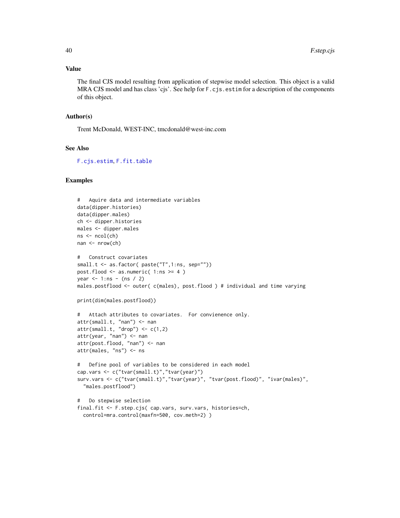# Value

The final CJS model resulting from application of stepwise model selection. This object is a valid MRA CJS model and has class 'cjs'. See help for F.cjs.estim for a description of the components of this object.

#### Author(s)

Trent McDonald, WEST-INC, tmcdonald@west-inc.com

#### See Also

[F.cjs.estim](#page-7-1), [F.fit.table](#page-27-1)

#### Examples

```
# Aquire data and intermediate variables
data(dipper.histories)
data(dipper.males)
ch <- dipper.histories
males <- dipper.males
ns < -\text{ncol}(ch)nan <- nrow(ch)
# Construct covariates
small.t <- as.factor( paste("T",1:ns, sep=""))
post.flood <- as.numeric( 1:ns >= 4 )
year <-1:ns - (ns / 2)males.postflood <- outer( c(males), post.flood ) # individual and time varying
print(dim(males.postflood))
# Attach attributes to covariates. For convienence only.
attr(small.t, "nan") <- nan
attr(small.t, "drop") < -c(1,2)attr(year, "nan") <- nan
attr(post.flood, "nan") <- nan
attr(males, "ns") <- ns
# Define pool of variables to be considered in each model
cap.vars <- c("tvar(small.t)","tvar(year)")
surv.vars <- c("tvar(small.t)","tvar(year)", "tvar(post.flood)", "ivar(males)",
  "males.postflood")
# Do stepwise selection
final.fit <- F.step.cjs( cap.vars, surv.vars, histories=ch,
  control=mra.control(maxfn=500, cov.meth=2) )
```
<span id="page-39-0"></span>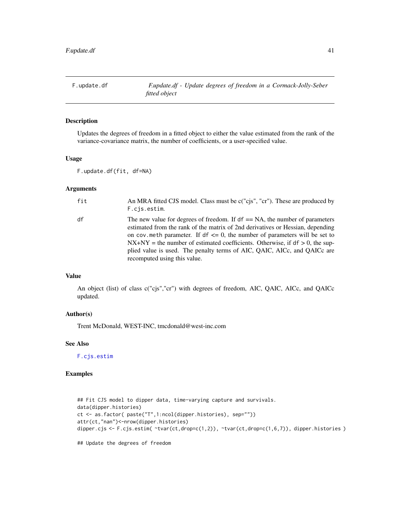<span id="page-40-1"></span><span id="page-40-0"></span>F.update.df *F.update.df - Update degrees of freedom in a Cormack-Jolly-Seber fitted object*

#### Description

Updates the degrees of freedom in a fitted object to either the value estimated from the rank of the variance-covariance matrix, the number of coefficients, or a user-specified value.

# Usage

```
F.update.df(fit, df=NA)
```
# Arguments

| fit | An MRA fitted CJS model. Class must be c("cjs", "cr"). These are produced by<br>F.cis.estim.                                                                                                                                                                                                                                                                                                                                                          |
|-----|-------------------------------------------------------------------------------------------------------------------------------------------------------------------------------------------------------------------------------------------------------------------------------------------------------------------------------------------------------------------------------------------------------------------------------------------------------|
| df  | The new value for degrees of freedom. If $df = N_A$ , the number of parameters<br>estimated from the rank of the matrix of 2nd derivatives or Hessian, depending<br>on cov. meth parameter. If $df \leq 0$ , the number of parameters will be set to<br>$NX+NY =$ the number of estimated coefficients. Otherwise, if $df > 0$ , the sup-<br>plied value is used. The penalty terms of AIC, QAIC, AICc, and QAICc are<br>recomputed using this value. |

### Value

An object (list) of class c("cjs","cr") with degrees of freedom, AIC, QAIC, AICc, and QAICc updated.

#### Author(s)

Trent McDonald, WEST-INC, tmcdonald@west-inc.com

#### See Also

[F.cjs.estim](#page-7-1)

### Examples

```
## Fit CJS model to dipper data, time-varying capture and survivals.
data(dipper.histories)
ct <- as.factor( paste("T",1:ncol(dipper.histories), sep=""))
attr(ct,"nan")<-nrow(dipper.histories)
dipper.cjs <- F.cjs.estim( ~tvar(ct,drop=c(1,2)), ~tvar(ct,drop=c(1,6,7)), dipper.histories )
```
## Update the degrees of freedom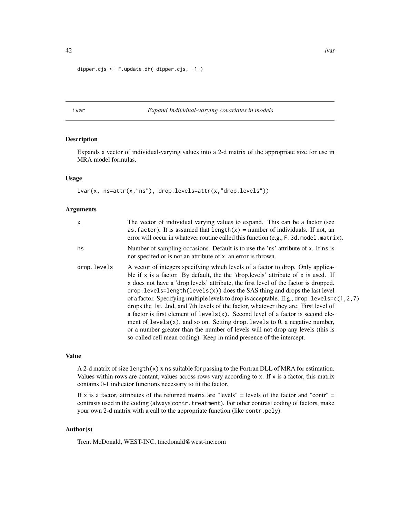```
dipper.cjs <- F.update.df( dipper.cjs, -1 )
```
#### <span id="page-41-1"></span>ivar *Expand Individual-varying covariates in models*

#### Description

Expands a vector of individual-varying values into a 2-d matrix of the appropriate size for use in MRA model formulas.

# Usage

ivar(x, ns=attr(x,"ns"), drop.levels=attr(x,"drop.levels"))

# Arguments

| $\mathsf{x}$ | The vector of individual varying values to expand. This can be a factor (see<br>as factor). It is assumed that length(x) = number of individuals. If not, an<br>error will occur in whatever routine called this function (e.g., F. 3d. model. matrix).                                                                                                                                                                                                                                                                                                                                                                                                                                                                                                                                                                                                                       |
|--------------|-------------------------------------------------------------------------------------------------------------------------------------------------------------------------------------------------------------------------------------------------------------------------------------------------------------------------------------------------------------------------------------------------------------------------------------------------------------------------------------------------------------------------------------------------------------------------------------------------------------------------------------------------------------------------------------------------------------------------------------------------------------------------------------------------------------------------------------------------------------------------------|
| ns           | Number of sampling occasions. Default is to use the 'ns' attribute of x. If ns is<br>not specified or is not an attribute of x, an error is thrown.                                                                                                                                                                                                                                                                                                                                                                                                                                                                                                                                                                                                                                                                                                                           |
| drop.levels  | A vector of integers specifying which levels of a factor to drop. Only applica-<br>ble if x is a factor. By default, the the 'drop. levels' attribute of x is used. If<br>x does not have a 'drop. levels' attribute, the first level of the factor is dropped.<br>$drop. levels = length(levels(x))$ does the SAS thing and drops the last level<br>of a factor. Specifying multiple levels to drop is acceptable. E.g., drop. level $s = c(1, 2, 7)$<br>drops the 1st, 2nd, and 7th levels of the factor, whatever they are. First level of<br>a factor is first element of levels(x). Second level of a factor is second ele-<br>ment of $levels(x)$ , and so on. Setting drop. levels to 0, a negative number,<br>or a number greater than the number of levels will not drop any levels (this is<br>so-called cell mean coding). Keep in mind presence of the intercept. |

#### Value

A 2-d matrix of size length(x) x ns suitable for passing to the Fortran DLL of MRA for estimation. Values within rows are contant, values across rows vary according to  $x$ . If  $x$  is a factor, this matrix contains 0-1 indicator functions necessary to fit the factor.

If x is a factor, attributes of the returned matrix are "levels" = levels of the factor and "contr" = contrasts used in the coding (always contr.treatment). For other contrast coding of factors, make your own 2-d matrix with a call to the appropriate function (like contr.poly).

# Author(s)

Trent McDonald, WEST-INC, tmcdonald@west-inc.com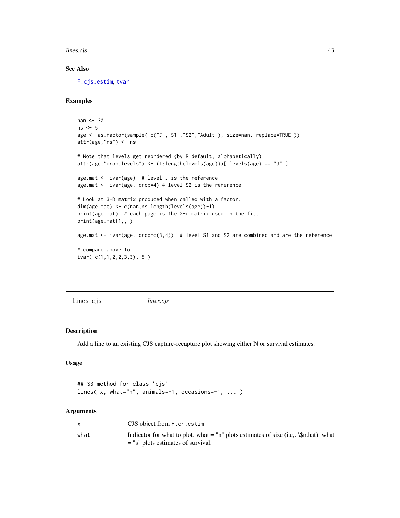<span id="page-42-0"></span>lines.cjs 43

# See Also

[F.cjs.estim](#page-7-1), [tvar](#page-54-1)

# Examples

```
nan <- 30
ns < -5age <- as.factor(sample( c("J","S1","S2","Adult"), size=nan, replace=TRUE ))
attr(age,"ns") <- ns
# Note that levels get reordered (by R default, alphabetically)
attr(age,"drop.levels") <- (1:length(levels(age)))[ levels(age) == "J" ]
age.mat <- ivar(age) # level J is the reference
age.mat <- ivar(age, drop=4) # level S2 is the reference
# Look at 3-D matrix produced when called with a factor.
dim(age.mat) <- c(nan,ns,length(levels(age))-1)
print(age.mat) # each page is the 2-d matrix used in the fit.
print(age.mat[1,,])
age.mat \le ivar(age, drop=c(3,4)) # level S1 and S2 are combined and are the reference
# compare above to
ivar( c(1,1,2,2,3,3), 5 )
```
lines.cjs *lines.cjs*

#### Description

Add a line to an existing CJS capture-recapture plot showing either N or survival estimates.

# Usage

```
## S3 method for class 'cjs'
lines( x, what="n", animals=-1, occasions=-1, ... )
```
#### Arguments

|      | CJS object from F.cr. estim                                                             |
|------|-----------------------------------------------------------------------------------------|
| what | Indicator for what to plot. what $=$ "n" plots estimates of size (i.e., \\$n.hat). what |
|      | $=$ "s" plots estimates of survival.                                                    |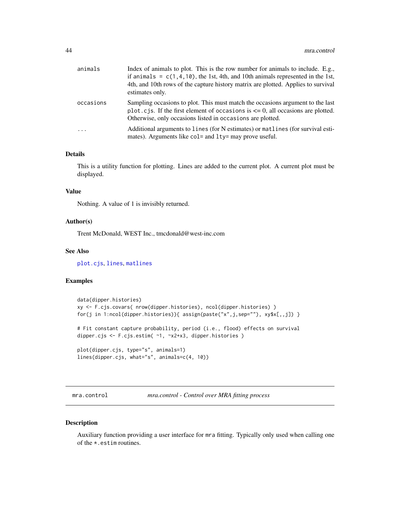<span id="page-43-0"></span>

| animals   | Index of animals to plot. This is the row number for animals to include. E.g.,<br>if animals = $c(1, 4, 10)$ , the 1st, 4th, and 10th animals represented in the 1st,<br>4th, and 10th rows of the capture history matrix are plotted. Applies to survival<br>estimates only. |
|-----------|-------------------------------------------------------------------------------------------------------------------------------------------------------------------------------------------------------------------------------------------------------------------------------|
| occasions | Sampling occasions to plot. This must match the occasions argument to the last<br>plot.cjs. If the first element of occasions is $\leq$ 0, all occasions are plotted.<br>Otherwise, only occasions listed in occasions are plotted.                                           |
| $\cdot$   | Additional arguments to lines (for N estimates) or matlines (for survival esti-<br>mates). Arguments like col= and lty= may prove useful.                                                                                                                                     |

# Details

This is a utility function for plotting. Lines are added to the current plot. A current plot must be displayed.

#### Value

Nothing. A value of 1 is invisibly returned.

#### Author(s)

Trent McDonald, WEST Inc., tmcdonald@west-inc.com

#### See Also

[plot.cjs](#page-45-1), [lines](#page-0-0), [matlines](#page-0-0)

# Examples

```
data(dipper.histories)
xy <- F.cjs.covars( nrow(dipper.histories), ncol(dipper.histories) )
for(j in 1:ncol(dipper.histories)){            assign(paste("x",j,sep=""), xy$x[,,j])        }
# Fit constant capture probability, period (i.e., flood) effects on survival
dipper.cjs <- F.cjs.estim( ~1, ~x2+x3, dipper.histories )
plot(dipper.cjs, type="s", animals=1)
lines(dipper.cjs, what="s", animals=c(4, 10))
```
<span id="page-43-1"></span>mra.control *mra.control - Control over MRA fitting process*

#### Description

Auxiliary function providing a user interface for mra fitting. Typically only used when calling one of the \*.estim routines.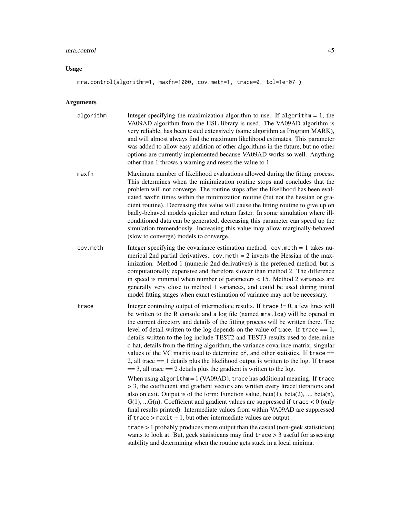#### mra.control 45

#### Usage

#### mra.control(algorithm=1, maxfn=1000, cov.meth=1, trace=0, tol=1e-07)

#### Arguments

- algorithm Integer specifying the maximization algorithm to use. If algorithm  $= 1$ , the VA09AD algorithm from the HSL library is used. The VA09AD algorithm is very reliable, has been tested extensively (same algorithm as Program MARK), and will almost always find the maximum likelihood estimates. This parameter was added to allow easy addition of other algorithms in the future, but no other options are currently implemented because VA09AD works so well. Anything other than 1 throws a warning and resets the value to 1.
- maxfn Maximum number of likelihood evaluations allowed during the fitting process. This determines when the minimization routine stops and concludes that the problem will not converge. The routine stops after the likelihood has been evaluated maxfn times within the minimization routine (but not the hessian or gradient routine). Decreasing this value will cause the fitting routine to give up on badly-behaved models quicker and return faster. In some simulation where illconditioned data can be generated, decreasing this parameter can speed up the simulation tremendously. Increasing this value may allow marginally-behaved (slow to converge) models to converge.
- cov.meth Integer specifying the covariance estimation method. cov.meth = 1 takes numerical 2nd partial derivatives.  $cov . \text{meth} = 2$  inverts the Hessian of the maximization. Method 1 (numeric 2nd derivatives) is the preferred method, but is computationally expensive and therefore slower than method 2. The difference in speed is minimal when number of parameters < 15. Method 2 variances are generally very close to method 1 variances, and could be used during initial model fitting stages when exact estimation of variance may not be necessary.
- trace Integer controling output of intermediate results. If trace  $!= 0$ , a few lines will be written to the R console and a log file (named mra.log) will be opened in the current directory and details of the fitting process will be written there. The level of detail written to the log depends on the value of trace. If trace  $== 1$ , details written to the log include TEST2 and TEST3 results used to determine c-hat, details from the fitting algorithm, the variance covarince matrix, singular values of the VC matrix used to determine  $df$ , and other statistics. If trace  $==$ 2, all trace  $== 1$  details plus the likelihood output is written to the log. If trace  $== 3$ , all trace  $== 2$  details plus the gradient is written to the log.

When using algorithm = 1 (VA09AD), trace has additional meaning. If trace > 3, the coefficient and gradient vectors are written every |trace| iterations and also on exit. Output is of the form: Function value,  $beta(1)$ ,  $beta(2)$ , ...,  $beta(n)$ ,  $G(1)$ , ... $G(n)$ . Coefficient and gradient values are suppressed if trace  $< 0$  (only final results printed). Intermediate values from within VA09AD are suppressed if  $trace > maxit + 1$ , but other intermediate values are output.

trace > 1 probably produces more output than the casual (non-geek statistician) wants to look at. But, geek statisticans may find trace > 3 useful for assessing stability and determining when the routine gets stuck in a local minima.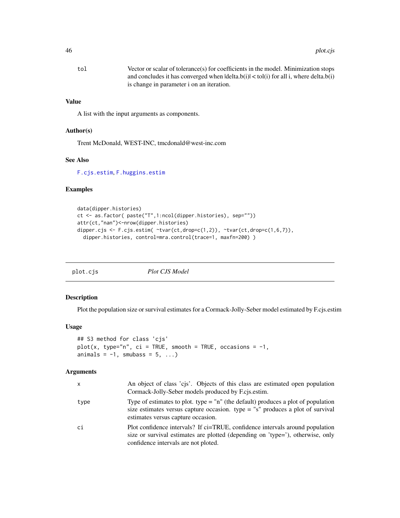<span id="page-45-0"></span>

| tol | Vector or scalar of tolerance(s) for coefficients in the model. Minimization stops    |
|-----|---------------------------------------------------------------------------------------|
|     | and concludes it has converged when $ delta(b)  <$ tol(i) for all i, where delta.b(i) |
|     | is change in parameter i on an iteration.                                             |

# Value

A list with the input arguments as components.

#### Author(s)

Trent McDonald, WEST-INC, tmcdonald@west-inc.com

#### See Also

[F.cjs.estim](#page-7-1), [F.huggins.estim](#page-29-1)

#### Examples

```
data(dipper.histories)
ct <- as.factor( paste("T",1:ncol(dipper.histories), sep=""))
attr(ct,"nan")<-nrow(dipper.histories)
dipper.cjs <- F.cjs.estim( \text{star}(\text{ct}, \text{drop=c}(1,2)), \text{star}(\text{ct}, \text{drop=c}(1,6,7)),
  dipper.histories, control=mra.control(trace=1, maxfn=200))
```
<span id="page-45-1"></span>

#### Description

Plot the population size or survival estimates for a Cormack-Jolly-Seber model estimated by F.cjs.estim

#### Usage

```
## S3 method for class 'cjs'
plot(x, type="n", ci = TRUE, smooth = TRUE, occursions = -1,animals = -1, smubass = 5, ...)
```
#### Arguments

| x    | An object of class 'cjs'. Objects of this class are estimated open population<br>Cormack-Jolly-Seber models produced by F.cis.estim.                                                                          |
|------|---------------------------------------------------------------------------------------------------------------------------------------------------------------------------------------------------------------|
| type | Type of estimates to plot. type $=$ "n" (the default) produces a plot of population<br>size estimates versus capture occasion. type $=$ "s" produces a plot of survival<br>estimates versus capture occasion. |
| сi   | Plot confidence intervals? If ci=TRUE, confidence intervals around population<br>size or survival estimates are plotted (depending on 'type='), otherwise, only<br>confidence intervals are not ploted.       |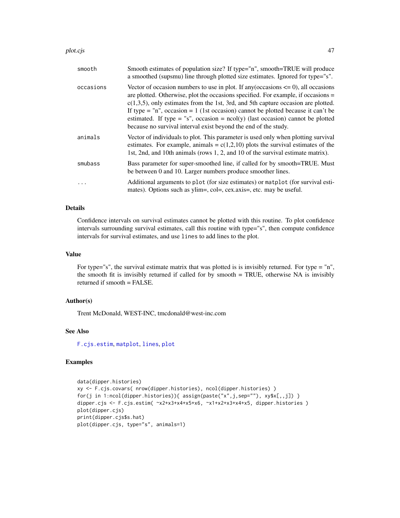#### <span id="page-46-0"></span>plot.cjs **Administration of the Contract Administration of the Contract Administration of the Contract Administration of the Contract Administration of the Contract Administration of the Contract Administration of the Cont**

| smooth    | Smooth estimates of population size? If type="n", smooth=TRUE will produce<br>a smoothed (supsmu) line through plotted size estimates. Ignored for type="s".                                                                                                                                                                                                                                                                                                                                                      |
|-----------|-------------------------------------------------------------------------------------------------------------------------------------------------------------------------------------------------------------------------------------------------------------------------------------------------------------------------------------------------------------------------------------------------------------------------------------------------------------------------------------------------------------------|
| occasions | Vector of occasion numbers to use in plot. If any (occasions $\leq$ 0), all occasions<br>are plotted. Otherwise, plot the occasions specified. For example, if occasions =<br>$c(1,3,5)$ , only estimates from the 1st, 3rd, and 5th capture occasion are plotted.<br>If type = $\ln$ ", occasion = 1 (1st occasion) cannot be plotted because it can't be<br>estimated. If type = "s", occasion = $ncol(y)$ (last occasion) cannot be plotted<br>because no survival interval exist beyond the end of the study. |
| animals   | Vector of individuals to plot. This parameter is used only when plotting survival<br>estimates. For example, animals = $c(1,2,10)$ plots the survival estimates of the<br>1st, 2nd, and 10th animals (rows 1, 2, and 10 of the survival estimate matrix).                                                                                                                                                                                                                                                         |
| smubass   | Bass parameter for super-smoothed line, if called for by smooth=TRUE. Must<br>be between 0 and 10. Larger numbers produce smoother lines.                                                                                                                                                                                                                                                                                                                                                                         |
|           | Additional arguments to plot (for size estimates) or matplot (for survival esti-<br>mates). Options such as ylim=, col=, cex.axis=, etc. may be useful.                                                                                                                                                                                                                                                                                                                                                           |

# Details

Confidence intervals on survival estimates cannot be plotted with this routine. To plot confidence intervals surrounding survival estimates, call this routine with type="s", then compute confidence intervals for survival estimates, and use lines to add lines to the plot.

#### Value

For type="s", the survival estimate matrix that was plotted is is invisibly returned. For type = "n", the smooth fit is invisibly returned if called for by smooth = TRUE, otherwise NA is invisibly returned if smooth = FALSE.

### Author(s)

Trent McDonald, WEST-INC, tmcdonald@west-inc.com

# See Also

[F.cjs.estim](#page-7-1), [matplot](#page-0-0), [lines](#page-0-0), [plot](#page-0-0)

# Examples

```
data(dipper.histories)
xy <- F.cjs.covars( nrow(dipper.histories), ncol(dipper.histories) )
for(j in 1:ncol(dipper.histories)){                assign(paste("x",j,sep=""), xy$x[,,j])                    }
dipper.cjs <- F.cjs.estim( ~x2+x3+x4+x5+x6, ~x1+x2+x3+x4+x5, dipper.histories )
plot(dipper.cjs)
print(dipper.cjs$s.hat)
plot(dipper.cjs, type="s", animals=1)
```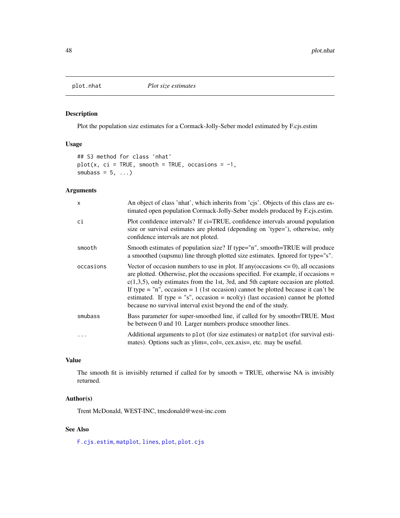<span id="page-47-0"></span>

# Description

Plot the population size estimates for a Cormack-Jolly-Seber model estimated by F.cjs.estim

# Usage

```
## S3 method for class 'nhat'
plot(x, ci = TRUE, smooth = TRUE, occasions = -1,smubass = 5, ...
```
# Arguments

| $\mathsf{x}$ | An object of class 'nhat', which inherits from 'cjs'. Objects of this class are es-<br>timated open population Cormack-Jolly-Seber models produced by F.cjs.estim.                                                                                                                                                                                                                                                                                                                                                |
|--------------|-------------------------------------------------------------------------------------------------------------------------------------------------------------------------------------------------------------------------------------------------------------------------------------------------------------------------------------------------------------------------------------------------------------------------------------------------------------------------------------------------------------------|
| ci           | Plot confidence intervals? If ci=TRUE, confidence intervals around population<br>size or survival estimates are plotted (depending on 'type='), otherwise, only<br>confidence intervals are not ploted.                                                                                                                                                                                                                                                                                                           |
| smooth       | Smooth estimates of population size? If type="n", smooth=TRUE will produce<br>a smoothed (supsmu) line through plotted size estimates. Ignored for type="s".                                                                                                                                                                                                                                                                                                                                                      |
| occasions    | Vector of occasion numbers to use in plot. If any (occasions $\leq$ 0), all occasions<br>are plotted. Otherwise, plot the occasions specified. For example, if occasions =<br>$c(1,3,5)$ , only estimates from the 1st, 3rd, and 5th capture occasion are plotted.<br>If type = $\ln$ ", occasion = 1 (1st occasion) cannot be plotted because it can't be<br>estimated. If type = "s", occasion = $ncol(y)$ (last occasion) cannot be plotted<br>because no survival interval exist beyond the end of the study. |
| smubass      | Bass parameter for super-smoothed line, if called for by smooth=TRUE. Must<br>be between 0 and 10. Larger numbers produce smoother lines.                                                                                                                                                                                                                                                                                                                                                                         |
|              | Additional arguments to plot (for size estimates) or matplot (for survival esti-<br>mates). Options such as ylim=, col=, cex.axis=, etc. may be useful.                                                                                                                                                                                                                                                                                                                                                           |

# Value

The smooth fit is invisibly returned if called for by smooth = TRUE, otherwise NA is invisibly returned.

# Author(s)

Trent McDonald, WEST-INC, tmcdonald@west-inc.com

# See Also

[F.cjs.estim](#page-7-1), [matplot](#page-0-0), [lines](#page-0-0), [plot](#page-0-0), [plot.cjs](#page-45-1)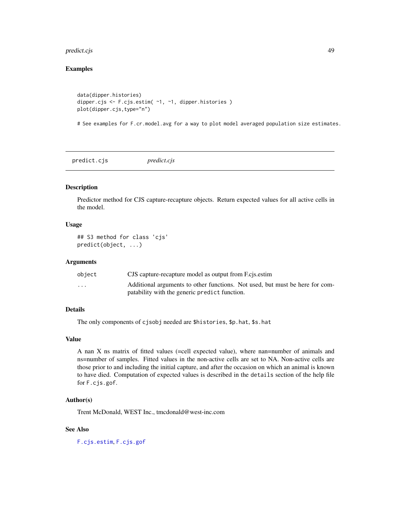# <span id="page-48-0"></span>predict.cjs 49

# Examples

```
data(dipper.histories)
dipper.cjs <- F.cjs.estim( ~1, ~1, dipper.histories )
plot(dipper.cjs,type="n")
```
# See examples for F.cr.model.avg for a way to plot model averaged population size estimates.

<span id="page-48-1"></span>predict.cjs *predict.cjs*

# Description

Predictor method for CJS capture-recapture objects. Return expected values for all active cells in the model.

#### Usage

```
## S3 method for class 'cjs'
predict(object, ...)
```
# Arguments

| object                  | CJS capture-recapture model as output from F.cis.estim                       |
|-------------------------|------------------------------------------------------------------------------|
| $\cdot$ $\cdot$ $\cdot$ | Additional arguments to other functions. Not used, but must be here for com- |
|                         | patability with the generic predict function.                                |

# Details

The only components of cjsobj needed are \$histories, \$p.hat, \$s.hat

# Value

A nan X ns matrix of fitted values (=cell expected value), where nan=number of animals and ns=number of samples. Fitted values in the non-active cells are set to NA. Non-active cells are those prior to and including the initial capture, and after the occasion on which an animal is known to have died. Computation of expected values is described in the details section of the help file for F.cjs.gof.

# Author(s)

Trent McDonald, WEST Inc., tmcdonald@west-inc.com

#### See Also

[F.cjs.estim](#page-7-1), [F.cjs.gof](#page-15-1)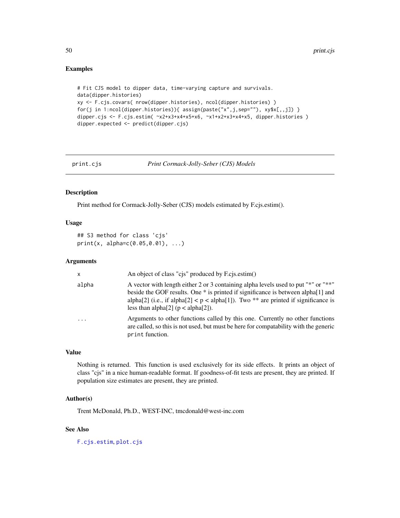#### Examples

```
# Fit CJS model to dipper data, time-varying capture and survivals.
data(dipper.histories)
xy <- F.cjs.covars( nrow(dipper.histories), ncol(dipper.histories) )
for(j in 1:ncol(dipper.histories)){            assign(paste("x",j,sep=""), xy$x[,,j])        }
dipper.cjs <- F.cjs.estim( x2+x3+x4+x5+x6, x1+x2+x3+x4+x5, dipper.histories )
dipper.expected <- predict(dipper.cjs)
```
<span id="page-49-1"></span>

print.cjs *Print Cormack-Jolly-Seber (CJS) Models*

#### Description

Print method for Cormack-Jolly-Seber (CJS) models estimated by F.cjs.estim().

# Usage

```
## S3 method for class 'cjs'
print(x, alpha=c(0.05,0.01), ...)
```
#### Arguments

| $\mathsf{x}$ | An object of class "cjs" produced by F.cjs.estim()                                                                                                                                                                                                                                                            |
|--------------|---------------------------------------------------------------------------------------------------------------------------------------------------------------------------------------------------------------------------------------------------------------------------------------------------------------|
| alpha        | A vector with length either 2 or 3 containing alpha levels used to put "*" or "**"<br>beside the GOF results. One * is printed if significance is between alpha[1] and<br>alpha[2] (i.e., if alpha[2] $\lt p \lt a$ alpha[1]). Two ** are printed if significance is<br>less than alpha[2] ( $p <$ alpha[2]). |
| $\cdot$      | Arguments to other functions called by this one. Currently no other functions<br>are called, so this is not used, but must be here for compatability with the generic<br>print function.                                                                                                                      |

# Value

Nothing is returned. This function is used exclusively for its side effects. It prints an object of class "cjs" in a nice human-readable format. If goodness-of-fit tests are present, they are printed. If population size estimates are present, they are printed.

# Author(s)

Trent McDonald, Ph.D., WEST-INC, tmcdonald@west-inc.com

# See Also

[F.cjs.estim](#page-7-1), [plot.cjs](#page-45-1)

<span id="page-49-0"></span>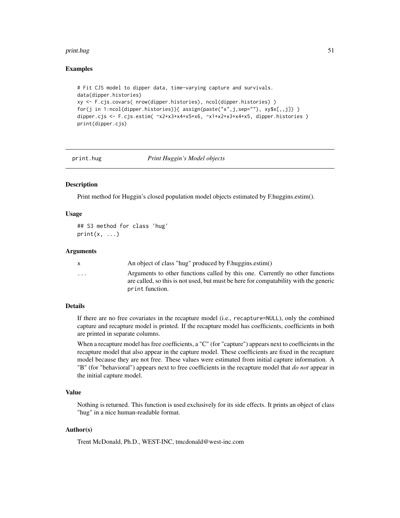#### <span id="page-50-0"></span>print.hug 51

#### Examples

```
# Fit CJS model to dipper data, time-varying capture and survivals.
data(dipper.histories)
xy <- F.cjs.covars( nrow(dipper.histories), ncol(dipper.histories) )
for(j in 1:ncol(dipper.histories)){ assign(paste("x", j, sep=""), xy$x[, , j]) }
dipper.cjs <- F.cjs.estim( x2+x3+x4+x5+x6, x1+x2+x3+x4+x5, dipper.histories )
print(dipper.cjs)
```
<span id="page-50-1"></span>

print.hug *Print Huggin's Model objects*

#### **Description**

Print method for Huggin's closed population model objects estimated by F.huggins.estim().

#### Usage

## S3 method for class 'hug'  $print(x, \ldots)$ 

#### Arguments

x An object of class "hug" produced by F.huggins.estim() ... Arguments to other functions called by this one. Currently no other functions are called, so this is not used, but must be here for compatability with the generic print function.

# Details

If there are no free covariates in the recapture model (i.e., recapture=NULL), only the combined capture and recapture model is printed. If the recapture model has coefficients, coefficients in both are printed in separate columns.

When a recapture model has free coefficients, a "C" (for "capture") appears next to coefficients in the recapture model that also appear in the capture model. These coefficients are fixed in the recapture model because they are not free. These values were estimated from initial capture information. A "B" (for "behavioral") appears next to free coefficients in the recapture model that *do not* appear in the initial capture model.

# Value

Nothing is returned. This function is used exclusively for its side effects. It prints an object of class "hug" in a nice human-readable format.

#### Author(s)

Trent McDonald, Ph.D., WEST-INC, tmcdonald@west-inc.com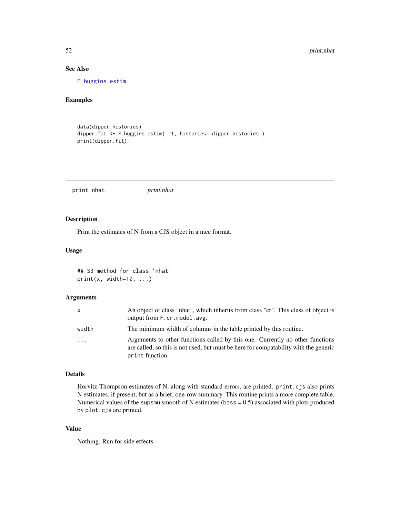# See Also

[F.huggins.estim](#page-29-1)

### Examples

```
data(dipper.histories)
dipper.fit <- F.huggins.estim( ~1, histories= dipper.histories )
print(dipper.fit)
```
print.nhat *print.nhat*

#### Description

Print the estimates of N from a CJS object in a nice format.

#### Usage

## S3 method for class 'nhat'  $print(x, width=10, ...)$ 

# Arguments

| <b>X</b>                | An object of class "nhat", which inherits from class "cr". This class of object is<br>output from F.cr. model. avg.                                                                      |
|-------------------------|------------------------------------------------------------------------------------------------------------------------------------------------------------------------------------------|
| width                   | The minimum width of columns in the table printed by this routine.                                                                                                                       |
| $\cdot$ $\cdot$ $\cdot$ | Arguments to other functions called by this one. Currently no other functions<br>are called, so this is not used, but must be here for compatability with the generic<br>print function. |

# Details

Horvitz-Thompson estimates of N, along with standard errors, are printed. print.cjs also prints N estimates, if present, but as a brief, one-row summary. This routine prints a more complete table. Numerical values of the supsmu smooth of N estimates (bass  $= 0.5$ ) associated with plots produced by plot.cjs are printed.

# Value

Nothing. Run for side effects

<span id="page-51-0"></span>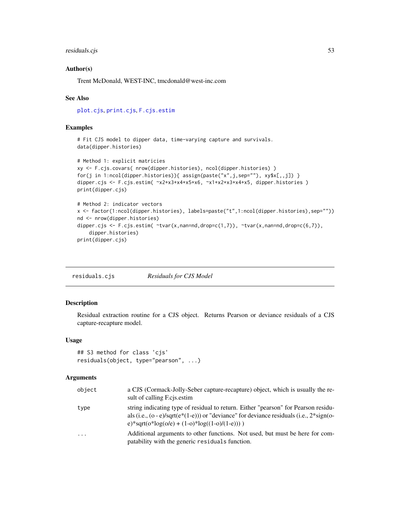# <span id="page-52-0"></span>residuals.cjs 53

#### Author(s)

Trent McDonald, WEST-INC, tmcdonald@west-inc.com

#### See Also

[plot.cjs](#page-45-1), [print.cjs](#page-49-1), [F.cjs.estim](#page-7-1)

# Examples

# Fit CJS model to dipper data, time-varying capture and survivals. data(dipper.histories)

```
# Method 1: explicit matricies
xy <- F.cjs.covars( nrow(dipper.histories), ncol(dipper.histories) )
for(j in 1:ncol(dipper.histories)){            assign(paste("x",j,sep=""), xy$x[,,j])        }
dipper.cjs <- F.cjs.estim( x2+x3+x4+x5+x6, x1+x2+x3+x4+x5, dipper.histories )
print(dipper.cjs)
# Method 2: indicator vectors
x <- factor(1:ncol(dipper.histories), labels=paste("t",1:ncol(dipper.histories),sep=""))
```

```
nd <- nrow(dipper.histories)
dipper.cjs <- F.cjs.estim( \text{star}(x, \text{nan}=nd, \text{drop}=c(1,7)), \text{star}(x, \text{nan}=nd, \text{drop}=c(6,7)),
     dipper.histories)
print(dipper.cjs)
```
<span id="page-52-1"></span>residuals.cjs *Residuals for CJS Model*

#### Description

Residual extraction routine for a CJS object. Returns Pearson or deviance residuals of a CJS capture-recapture model.

#### Usage

```
## S3 method for class 'cjs'
residuals(object, type="pearson", ...)
```
#### Arguments

| object | a CJS (Cormack-Jolly-Seber capture-recapture) object, which is usually the re-<br>sult of calling F.cjs.estim                                                                                                                    |
|--------|----------------------------------------------------------------------------------------------------------------------------------------------------------------------------------------------------------------------------------|
| type   | string indicating type of residual to return. Either "pearson" for Pearson residu-<br>als (i.e., (o - e)/sqrt(e*(1-e))) or "deviance" for deviance residuals (i.e., $2*sign(o-$<br>e)*sqrt(o*log(o/e) + (1-o)*log((1-o)/(1-e)))) |
| .      | Additional arguments to other functions. Not used, but must be here for com-<br>patability with the generic residuals function.                                                                                                  |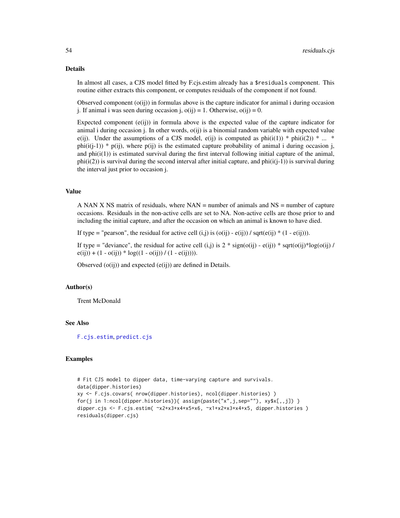#### Details

In almost all cases, a CJS model fitted by F.cjs.estim already has a \$residuals component. This routine either extracts this component, or computes residuals of the component if not found.

Observed component  $(o(i))$  in formulas above is the capture indicator for animal i during occasion j. If animal i was seen during occasion j,  $o(ij) = 1$ . Otherwise,  $o(ij) = 0$ .

Expected component  $(e(ij))$  in formula above is the expected value of the capture indicator for animal i during occasion j. In other words, o(ij) is a binomial random variable with expected value e(ij). Under the assumptions of a CJS model, e(ij) is computed as  $phi(i(1)) * phi(i(2)) * ... *$ phi(i(j-1)) \* p(ij), where p(ij) is the estimated capture probability of animal i during occasion j, and  $phi(i(1))$  is estimated survival during the first interval following initial capture of the animal,  $phi(i(2))$  is survival during the second interval after initial capture, and  $phi(i(j-1))$  is survival during the interval just prior to occasion j.

#### Value

A NAN X NS matrix of residuals, where  $NAN$  = number of animals and  $NS$  = number of capture occasions. Residuals in the non-active cells are set to NA. Non-active cells are those prior to and including the initial capture, and after the occasion on which an animal is known to have died.

If type = "pearson", the residual for active cell  $(i,j)$  is  $(o(ij) - e(ij))$  / sqrt $(e(ij) * (1 - e(ij)))$ .

If type = "deviance", the residual for active cell (i,j) is  $2 * sign(o(ij) - e(ij)) * sqrt(o(ij) * log(o(ij) /$  $e(ij)) + (1 - o(ij)) * log((1 - o(ij)) / (1 - e(ij))).$ 

Observed  $(o(ij))$  and expected  $(e(ij))$  are defined in Details.

# Author(s)

Trent McDonald

# See Also

[F.cjs.estim](#page-7-1), [predict.cjs](#page-48-1)

#### Examples

```
# Fit CJS model to dipper data, time-varying capture and survivals.
data(dipper.histories)
xy <- F.cjs.covars( nrow(dipper.histories), ncol(dipper.histories) )
for(j in 1:ncol(dipper.histories)){ assign(paste("x",j,sep=""), xy$x[,,j]) }
dipper.cjs <- F.cjs.estim( x2+x3+x4+x5+x6, x1+x2+x3+x4+x5, dipper.histories )
residuals(dipper.cjs)
```
<span id="page-53-0"></span>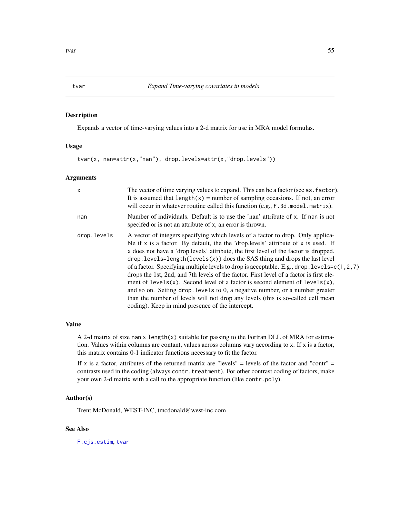# <span id="page-54-1"></span><span id="page-54-0"></span>Description

Expands a vector of time-varying values into a 2-d matrix for use in MRA model formulas.

#### Usage

```
tvar(x, nan=attr(x,"nan"), drop.levels=attr(x,"drop.levels"))
```
#### **Arguments**

| $\mathsf{x}$ | The vector of time varying values to expand. This can be a factor (see as . factor).<br>It is assumed that $length(x) = number of sampling occasions.$ If not, an error<br>will occur in whatever routine called this function (e.g., F. 3d. model. matrix).                                                                                                                                                                                                                                                                                                                                                                                                                                                                                                                                                                                          |
|--------------|-------------------------------------------------------------------------------------------------------------------------------------------------------------------------------------------------------------------------------------------------------------------------------------------------------------------------------------------------------------------------------------------------------------------------------------------------------------------------------------------------------------------------------------------------------------------------------------------------------------------------------------------------------------------------------------------------------------------------------------------------------------------------------------------------------------------------------------------------------|
| nan          | Number of individuals. Default is to use the 'nan' attribute of x. If nan is not<br>specified or is not an attribute of x, an error is thrown.                                                                                                                                                                                                                                                                                                                                                                                                                                                                                                                                                                                                                                                                                                        |
| drop.levels  | A vector of integers specifying which levels of a factor to drop. Only applica-<br>ble if x is a factor. By default, the the 'drop. levels' attribute of x is used. If<br>x does not have a 'drop. levels' attribute, the first level of the factor is dropped.<br>$drop. levels = length(levels(x))$ does the SAS thing and drops the last level<br>of a factor. Specifying multiple levels to drop is acceptable. E.g., drop. levels= $c(1, 2, 7)$<br>drops the 1st, 2nd, and 7th levels of the factor. First level of a factor is first ele-<br>ment of levels(x). Second level of a factor is second element of levels(x),<br>and so on. Setting drop. levels to 0, a negative number, or a number greater<br>than the number of levels will not drop any levels (this is so-called cell mean<br>coding). Keep in mind presence of the intercept. |

# Value

A 2-d matrix of size nan x length(x) suitable for passing to the Fortran DLL of MRA for estimation. Values within columns are contant, values across columns vary according to  $x$ . If  $x$  is a factor, this matrix contains 0-1 indicator functions necessary to fit the factor.

If x is a factor, attributes of the returned matrix are "levels" = levels of the factor and "contr" = contrasts used in the coding (always contr.treatment). For other contrast coding of factors, make your own 2-d matrix with a call to the appropriate function (like contr.poly).

#### Author(s)

Trent McDonald, WEST-INC, tmcdonald@west-inc.com

# See Also

[F.cjs.estim](#page-7-1), [tvar](#page-54-1)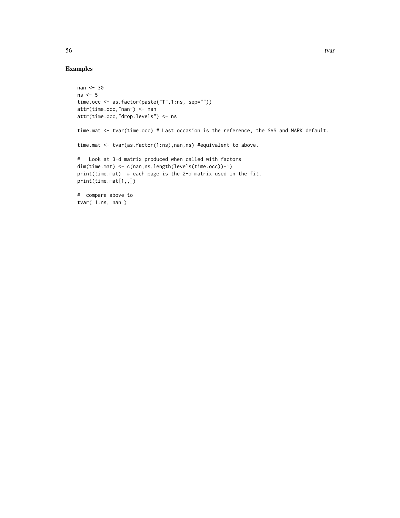# Examples

```
nan <- 30
ns < -5time.occ <- as.factor(paste("T",1:ns, sep=""))
attr(time.occ,"nan") <- nan
attr(time.occ,"drop.levels") <- ns
time.mat <- tvar(time.occ) # Last occasion is the reference, the SAS and MARK default.
time.mat <- tvar(as.factor(1:ns),nan,ns) #equivalent to above.
# Look at 3-d matrix produced when called with factors
dim(time.mat) <- c(nan,ns,length(levels(time.occ))-1)
print(time.mat) # each page is the 2-d matrix used in the fit.
print(time.mat[1,,])
# compare above to
tvar( 1:ns, nan )
```
 $56$  tvar  $t$  tvar  $t$  tvar  $t$  tvar  $t$  tvar  $t$  tvar  $t$  tvar  $t$  tvar  $t$  tvar  $t$  tvar  $t$  tvar  $t$  tvar  $t$  tvar  $t$  tvar  $t$  tvar  $t$  tvar  $t$  tvar  $t$  tvar  $t$  tvar  $t$  tvar  $t$  tvar  $t$  tvar  $t$  tvar  $t$  tvar  $t$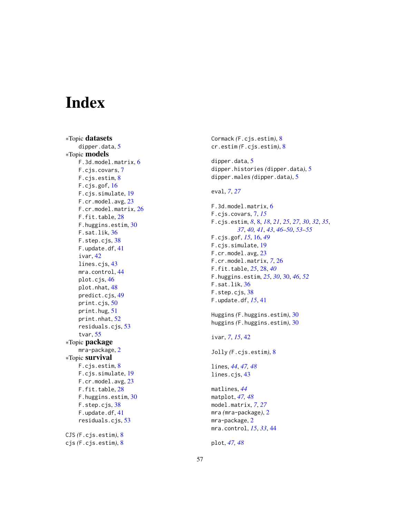# <span id="page-56-0"></span>Index

∗Topic datasets dipper.data, <mark>[5](#page-4-0)</mark> ∗Topic models F.3d.model.matrix , [6](#page-5-0) F.cjs.covars , [7](#page-6-0) F.cjs.estim, [8](#page-7-0) F.cjs.gof, [16](#page-15-0) F.cjs.simulate , [19](#page-18-0) F.cr.model.avg , [23](#page-22-0) F.cr.model.matrix , [26](#page-25-0) F.fit.table, [28](#page-27-0) F.huggins.estim , [30](#page-29-0) F.sat.lik , [36](#page-35-0) F.step.cjs, [38](#page-37-0) F.update.df , [41](#page-40-0) ivar , [42](#page-41-0) lines.cjs , [43](#page-42-0) mra.control, [44](#page-43-0) plot.cjs , [46](#page-45-0) plot.nhat, [48](#page-47-0) predict.cjs , [49](#page-48-0) print.cjs , [50](#page-49-0) print.hug , [51](#page-50-0) print.nhat , [52](#page-51-0) residuals.cjs , [53](#page-52-0) tvar , [55](#page-54-0) ∗Topic package mra-package,[2](#page-1-0) ∗Topic survival F.cjs.estim, [8](#page-7-0) F.cjs.simulate , [19](#page-18-0) F.cr.model.avg , [23](#page-22-0) F.fit.table, [28](#page-27-0) F.huggins.estim , [30](#page-29-0) F.step.cjs, [38](#page-37-0) F.update.df , [41](#page-40-0) residuals.cjs , [53](#page-52-0) CJS *(*F.cjs.estim *)* , [8](#page-7-0) cjs *(*F.cjs.estim *)* , [8](#page-7-0)

Cormack *(*F.cjs.estim *)* , [8](#page-7-0) cr.estim *(*F.cjs.estim *)* , [8](#page-7-0)

dipper.data, <mark>[5](#page-4-0)</mark> dipper.histories *(*dipper.data *)* , [5](#page-4-0) dipper.males *(*dipper.data *)* , [5](#page-4-0)

eval , *[7](#page-6-0)* , *[27](#page-26-0)*

F.3d.model.matrix , [6](#page-5-0) F.cjs.covars , [7](#page-6-0) , *[15](#page-14-0)* F.cjs.estim , *[8](#page-7-0)* , [8](#page-7-0) , *[18](#page-17-0)* , *[21](#page-20-0)* , *[25](#page-24-0)* , *[27](#page-26-0)* , *[30](#page-29-0)* , *[32](#page-31-0)* , *[35](#page-34-0)* , *[37](#page-36-0)* , *[40](#page-39-0) , [41](#page-40-0)* , *[43](#page-42-0)* , *[46](#page-45-0)[–50](#page-49-0)* , *[53](#page-52-0) [–55](#page-54-0)* F.cjs.gof , *[15](#page-14-0)* , [16](#page-15-0) , *[49](#page-48-0)* F.cjs.simulate , [19](#page-18-0) F.cr.model.avg, [23](#page-22-0) F.cr.model.matrix , *[7](#page-6-0)* , [26](#page-25-0) F.fit.table , *[25](#page-24-0)* , [28](#page-27-0) , *[40](#page-39-0)* F.huggins.estim , *[25](#page-24-0)* , *[30](#page-29-0)* , [30](#page-29-0) , *[46](#page-45-0)* , *[52](#page-51-0)* F.sat.lik, [36](#page-35-0) F.step.cjs, [38](#page-37-0) F.update.df , *[15](#page-14-0)* , [41](#page-40-0)

Huggins *(*F.huggins.estim *)* , [30](#page-29-0) huggins *(*F.huggins.estim *)* , [30](#page-29-0)

ivar, [7](#page-6-0), [15](#page-14-0), [42](#page-41-0)

Jolly *(*F.cjs.estim *)* , [8](#page-7-0)

lines , *[44](#page-43-0)* , *[47,](#page-46-0) [48](#page-47-0)* lines.cjs , [43](#page-42-0)

matlines , *[44](#page-43-0)* matplot , *[47,](#page-46-0) [48](#page-47-0)* model.matrix , *[7](#page-6-0)* , *[27](#page-26-0)* mra *(*mra-package *)* , [2](#page-1-0) mra-package, [2](#page-1-0) mra.control , *[15](#page-14-0)* , *[33](#page-32-0)* , [44](#page-43-0)

plot , *[47,](#page-46-0) [48](#page-47-0)*